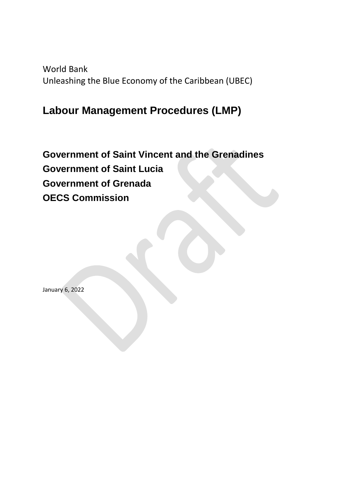World Bank Unleashing the Blue Economy of the Caribbean (UBEC)

# **Labour Management Procedures (LMP)**

**Government of Saint Vincent and the Grenadines Government of Saint Lucia Government of Grenada OECS Commission** 

January 6, 2022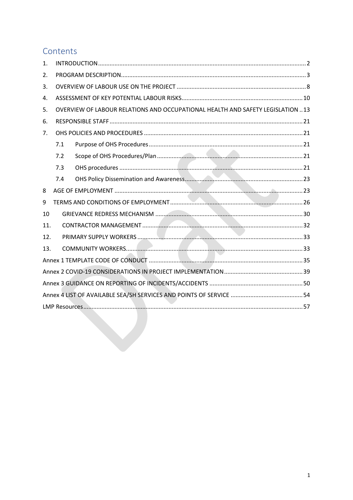# Contents

| 1.  |     |                                                                                 |  |
|-----|-----|---------------------------------------------------------------------------------|--|
| 2.  |     |                                                                                 |  |
| 3.  |     |                                                                                 |  |
| 4.  |     |                                                                                 |  |
| 5.  |     | OVERVIEW OF LABOUR RELATIONS AND OCCUPATIONAL HEALTH AND SAFETY LEGISLATION  13 |  |
| 6.  |     |                                                                                 |  |
| 7.  |     |                                                                                 |  |
|     | 7.1 |                                                                                 |  |
|     | 7.2 |                                                                                 |  |
|     | 7.3 |                                                                                 |  |
|     | 7.4 |                                                                                 |  |
| 8   |     |                                                                                 |  |
| 9   |     |                                                                                 |  |
| 10  |     |                                                                                 |  |
| 11. |     |                                                                                 |  |
| 12. |     |                                                                                 |  |
| 13. |     |                                                                                 |  |
|     |     |                                                                                 |  |
|     |     |                                                                                 |  |
|     |     |                                                                                 |  |
|     |     |                                                                                 |  |
|     |     |                                                                                 |  |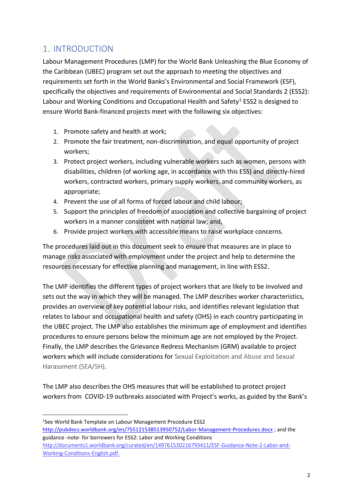## <span id="page-2-0"></span>1. INTRODUCTION

**.** 

Labour Management Procedures (LMP) for the World Bank Unleashing the Blue Economy of the Caribbean (UBEC) program set out the approach to meeting the objectives and requirements set forth in the World Banks's Environmental and Social Framework (ESF), specifically the objectives and requirements of Environmental and Social Standards 2 (ESS2): Labour and Working Conditions and Occupational Health and Safety<sup>1</sup> ESS2 is designed to ensure World Bank-financed projects meet with the following six objectives:

- 1. Promote safety and health at work;
- 2. Promote the fair treatment, non-discrimination, and equal opportunity of project workers;
- 3. Protect project workers, including vulnerable workers such as women, persons with disabilities, children (of working age, in accordance with this ESS) and directly-hired workers, contracted workers, primary supply workers, and community workers, as appropriate;
- 4. Prevent the use of all forms of forced labour and child labour;
- 5. Support the principles of freedom of association and collective bargaining of project workers in a manner consistent with national law; and,
- 6. Provide project workers with accessible means to raise workplace concerns.

The procedures laid out in this document seek to ensure that measures are in place to manage risks associated with employment under the project and help to determine the resources necessary for effective planning and management, in line with ESS2.

The LMP identifies the different types of project workers that are likely to be involved and sets out the way in which they will be managed. The LMP describes worker characteristics, provides an overview of key potential labour risks, and identifies relevant legislation that relates to labour and occupational health and safety (OHS) in each country participating in the UBEC project. The LMP also establishes the minimum age of employment and identifies procedures to ensure persons below the minimum age are not employed by the Project. Finally, the LMP describes the Grievance Redress Mechanism (GRM) available to project workers which will include considerations for Sexual Exploitation and Abuse and Sexual Harassment (SEA/SH).

The LMP also describes the OHS measures that will be established to protect project workers from COVID-19 outbreaks associated with Project's works, as guided by the Bank's

<sup>1</sup> See World Bank Template on Labour Management Procedure ESS2 <http://pubdocs.worldbank.org/en/755121538513950752/Labor-Management-Procedures.docx> ; and the guidance -note- for borrowers for ESS2: Labor and Working Conditions [http://documents1.worldbank.org/curated/en/149761530216793411/ESF-Guidance-Note-2-Labor-and-](http://documents1.worldbank.org/curated/en/149761530216793411/ESF-Guidance-Note-2-Labor-and-Working-Conditions-English.pdf)[Working-Conditions-English.pdf.](http://documents1.worldbank.org/curated/en/149761530216793411/ESF-Guidance-Note-2-Labor-and-Working-Conditions-English.pdf)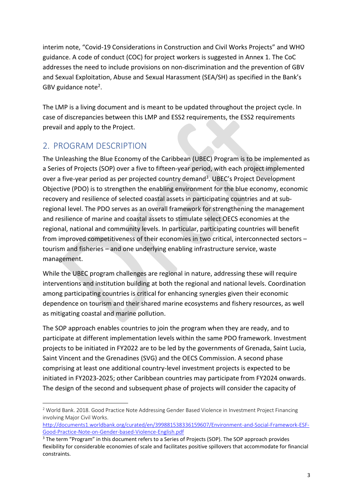interim note, "Covid-19 Considerations in Construction and Civil Works Projects" and WHO guidance. A code of conduct (COC) for project workers is suggested in Annex 1. The CoC addresses the need to include provisions on non-discrimination and the prevention of GBV and Sexual Exploitation, Abuse and Sexual Harassment (SEA/SH) as specified in the Bank's GBV guidance note<sup>2</sup>.

The LMP is a living document and is meant to be updated throughout the project cycle. In case of discrepancies between this LMP and ESS2 requirements, the ESS2 requirements prevail and apply to the Project.

# <span id="page-3-0"></span>2. PROGRAM DESCRIPTION

 $\overline{a}$ 

The Unleashing the Blue Economy of the Caribbean (UBEC) Program is to be implemented as a Series of Projects (SOP) over a five to fifteen-year period, with each project implemented over a five-year period as per projected country demand<sup>3</sup>. UBEC's Project Development Objective (PDO) is to strengthen the enabling environment for the blue economy, economic recovery and resilience of selected coastal assets in participating countries and at subregional level. The PDO serves as an overall framework for strengthening the management and resilience of marine and coastal assets to stimulate select OECS economies at the regional, national and community levels. In particular, participating countries will benefit from improved competitiveness of their economies in two critical, interconnected sectors – tourism and fisheries – and one underlying enabling infrastructure service, waste management.

While the UBEC program challenges are regional in nature, addressing these will require interventions and institution building at both the regional and national levels. Coordination among participating countries is critical for enhancing synergies given their economic dependence on tourism and their shared marine ecosystems and fishery resources, as well as mitigating coastal and marine pollution.

The SOP approach enables countries to join the program when they are ready, and to participate at different implementation levels within the same PDO framework. Investment projects to be initiated in FY2022 are to be led by the governments of Grenada, Saint Lucia, Saint Vincent and the Grenadines (SVG) and the OECS Commission. A second phase comprising at least one additional country-level investment projects is expected to be initiated in FY2023-2025; other Caribbean countries may participate from FY2024 onwards. The design of the second and subsequent phase of projects will consider the capacity of

<sup>&</sup>lt;sup>2</sup> World Bank. 2018. Good Practice Note Addressing Gender Based Violence in Investment Project Financing involving Major Civil Works.

[http://documents1.worldbank.org/curated/en/399881538336159607/Environment-and-Social-Framework-ESF-](http://documents1.worldbank.org/curated/en/399881538336159607/Environment-and-Social-Framework-ESF-Good-Practice-Note-on-Gender-based-Violence-English.pdf)[Good-Practice-Note-on-Gender-based-Violence-English.pdf](http://documents1.worldbank.org/curated/en/399881538336159607/Environment-and-Social-Framework-ESF-Good-Practice-Note-on-Gender-based-Violence-English.pdf)

<sup>&</sup>lt;sup>3</sup> The term "Program" in this document refers to a Series of Projects (SOP). The SOP approach provides flexibility for considerable economies of scale and facilitates positive spillovers that accommodate for financial constraints.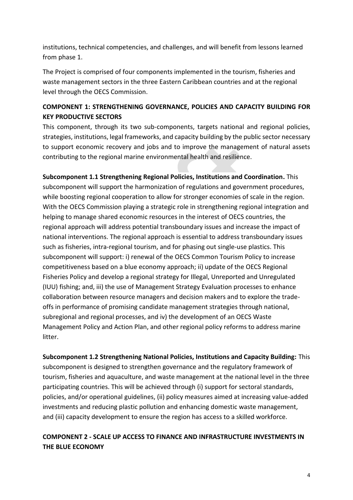institutions, technical competencies, and challenges, and will benefit from lessons learned from phase 1.

The Project is comprised of four components implemented in the tourism, fisheries and waste management sectors in the three Eastern Caribbean countries and at the regional level through the OECS Commission.

## **COMPONENT 1: STRENGTHENING GOVERNANCE, POLICIES AND CAPACITY BUILDING FOR KEY PRODUCTIVE SECTORS**

This component, through its two sub-components, targets national and regional policies, strategies, institutions, legal frameworks, and capacity building by the public sector necessary to support economic recovery and jobs and to improve the management of natural assets contributing to the regional marine environmental health and resilience.

**Subcomponent 1.1 Strengthening Regional Policies, Institutions and Coordination.** This subcomponent will support the harmonization of regulations and government procedures, while boosting regional cooperation to allow for stronger economies of scale in the region. With the OECS Commission playing a strategic role in strengthening regional integration and helping to manage shared economic resources in the interest of OECS countries, the regional approach will address potential transboundary issues and increase the impact of national interventions. The regional approach is essential to address transboundary issues such as fisheries, intra-regional tourism, and for phasing out single-use plastics. This subcomponent will support: i) renewal of the OECS Common Tourism Policy to increase competitiveness based on a blue economy approach; ii) update of the OECS Regional Fisheries Policy and develop a regional strategy for Illegal, Unreported and Unregulated (IUU) fishing; and, iii) the use of Management Strategy Evaluation processes to enhance collaboration between resource managers and decision makers and to explore the tradeoffs in performance of promising candidate management strategies through national, subregional and regional processes, and iv) the development of an OECS Waste Management Policy and Action Plan, and other regional policy reforms to address marine litter.

**Subcomponent 1.2 Strengthening National Policies, Institutions and Capacity Building:** This subcomponent is designed to strengthen governance and the regulatory framework of tourism, fisheries and aquaculture, and waste management at the national level in the three participating countries. This will be achieved through (i) support for sectoral standards, policies, and/or operational guidelines, (ii) policy measures aimed at increasing value-added investments and reducing plastic pollution and enhancing domestic waste management, and (iii) capacity development to ensure the region has access to a skilled workforce.

## **COMPONENT 2 - SCALE UP ACCESS TO FINANCE AND INFRASTRUCTURE INVESTMENTS IN THE BLUE ECONOMY**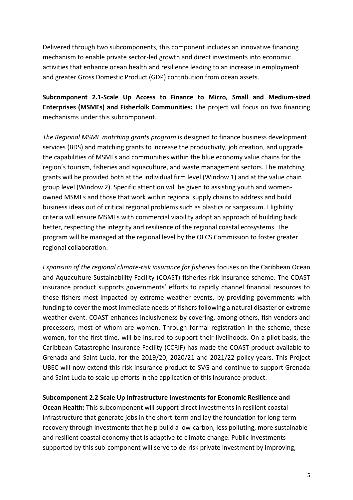Delivered through two subcomponents, this component includes an innovative financing mechanism to enable private sector-led growth and direct investments into economic activities that enhance ocean health and resilience leading to an increase in employment and greater Gross Domestic Product (GDP) contribution from ocean assets.

**Subcomponent 2.1-Scale Up Access to Finance to Micro, Small and Medium-sized Enterprises (MSMEs) and Fisherfolk Communities:** The project will focus on two financing mechanisms under this subcomponent.

*The Regional MSME matching grants program* is designed to finance business development services (BDS) and matching grants to increase the productivity, job creation, and upgrade the capabilities of MSMEs and communities within the blue economy value chains for the region's tourism, fisheries and aquaculture, and waste management sectors. The matching grants will be provided both at the individual firm level (Window 1) and at the value chain group level (Window 2). Specific attention will be given to assisting youth and womenowned MSMEs and those that work within regional supply chains to address and build business ideas out of critical regional problems such as plastics or sargassum. Eligibility criteria will ensure MSMEs with commercial viability adopt an approach of building back better, respecting the integrity and resilience of the regional coastal ecosystems. The program will be managed at the regional level by the OECS Commission to foster greater regional collaboration.

*Expansion of the regional climate-risk insurance for fisheries* focuses on the Caribbean Ocean and Aquaculture Sustainability Facility (COAST) fisheries risk insurance scheme. The COAST insurance product supports governments' efforts to rapidly channel financial resources to those fishers most impacted by extreme weather events, by providing governments with funding to cover the most immediate needs of fishers following a natural disaster or extreme weather event. COAST enhances inclusiveness by covering, among others, fish vendors and processors, most of whom are women. Through formal registration in the scheme, these women, for the first time, will be insured to support their livelihoods. On a pilot basis, the Caribbean Catastrophe Insurance Facility (CCRIF) has made the COAST product available to Grenada and Saint Lucia, for the 2019/20, 2020/21 and 2021/22 policy years. This Project UBEC will now extend this risk insurance product to SVG and continue to support Grenada and Saint Lucia to scale up efforts in the application of this insurance product.

**Subcomponent 2.2 Scale Up Infrastructure Investments for Economic Resilience and** 

**Ocean Health:** This subcomponent will support direct investments in resilient coastal infrastructure that generate jobs in the short-term and lay the foundation for long-term recovery through investments that help build a low-carbon, less polluting, more sustainable and resilient coastal economy that is adaptive to climate change. Public investments supported by this sub-component will serve to de-risk private investment by improving,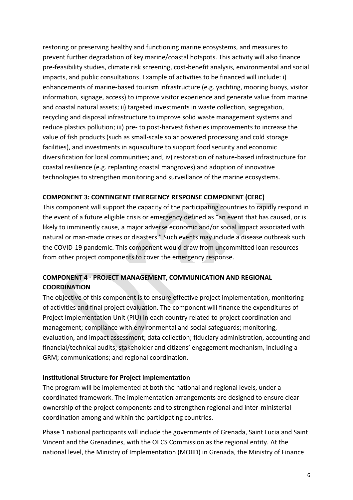restoring or preserving healthy and functioning marine ecosystems, and measures to prevent further degradation of key marine/coastal hotspots. This activity will also finance pre-feasibility studies, climate risk screening, cost-benefit analysis, environmental and social impacts, and public consultations. Example of activities to be financed will include: i) enhancements of marine-based tourism infrastructure (e.g. yachting, mooring buoys, visitor information, signage, access) to improve visitor experience and generate value from marine and coastal natural assets; ii) targeted investments in waste collection, segregation, recycling and disposal infrastructure to improve solid waste management systems and reduce plastics pollution; iii) pre- to post-harvest fisheries improvements to increase the value of fish products (such as small-scale solar powered processing and cold storage facilities), and investments in aquaculture to support food security and economic diversification for local communities; and, iv) restoration of nature-based infrastructure for coastal resilience (e.g. replanting coastal mangroves) and adoption of innovative technologies to strengthen monitoring and surveillance of the marine ecosystems.

## **COMPONENT 3: CONTINGENT EMERGENCY RESPONSE COMPONENT (CERC)**

This component will support the capacity of the participating countries to rapidly respond in the event of a future eligible crisis or emergency defined as "an event that has caused, or is likely to imminently cause, a major adverse economic and/or social impact associated with natural or man-made crises or disasters." Such events may include a disease outbreak such the COVID-19 pandemic. This component would draw from uncommitted loan resources from other project components to cover the emergency response.

## **COMPONENT 4 - PROJECT MANAGEMENT, COMMUNICATION AND REGIONAL COORDINATION**

The objective of this component is to ensure effective project implementation, monitoring of activities and final project evaluation. The component will finance the expenditures of Project Implementation Unit (PIU) in each country related to project coordination and management; compliance with environmental and social safeguards; monitoring, evaluation, and impact assessment; data collection; fiduciary administration, accounting and financial/technical audits; stakeholder and citizens' engagement mechanism, including a GRM; communications; and regional coordination.

### **Institutional Structure for Project Implementation**

The program will be implemented at both the national and regional levels, under a coordinated framework. The implementation arrangements are designed to ensure clear ownership of the project components and to strengthen regional and inter-ministerial coordination among and within the participating countries.

Phase 1 national participants will include the governments of Grenada, Saint Lucia and Saint Vincent and the Grenadines, with the OECS Commission as the regional entity. At the national level, the Ministry of Implementation (MOIID) in Grenada, the Ministry of Finance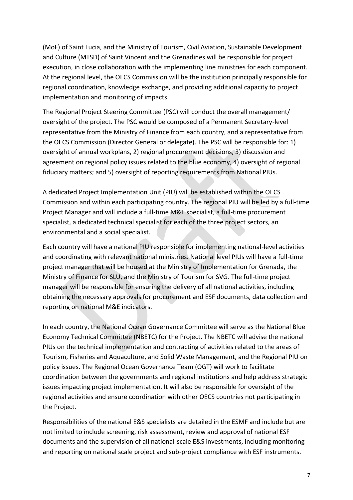(MoF) of Saint Lucia, and the Ministry of Tourism, Civil Aviation, Sustainable Development and Culture (MTSD) of Saint Vincent and the Grenadines will be responsible for project execution, in close collaboration with the implementing line ministries for each component. At the regional level, the OECS Commission will be the institution principally responsible for regional coordination, knowledge exchange, and providing additional capacity to project implementation and monitoring of impacts.

The Regional Project Steering Committee (PSC) will conduct the overall management/ oversight of the project. The PSC would be composed of a Permanent Secretary-level representative from the Ministry of Finance from each country, and a representative from the OECS Commission (Director General or delegate). The PSC will be responsible for: 1) oversight of annual workplans, 2) regional procurement decisions, 3) discussion and agreement on regional policy issues related to the blue economy, 4) oversight of regional fiduciary matters; and 5) oversight of reporting requirements from National PIUs.

A dedicated Project Implementation Unit (PIU) will be established within the OECS Commission and within each participating country. The regional PIU will be led by a full-time Project Manager and will include a full-time M&E specialist, a full-time procurement specialist, a dedicated technical specialist for each of the three project sectors, an environmental and a social specialist.

Each country will have a national PIU responsible for implementing national-level activities and coordinating with relevant national ministries. National level PIUs will have a full-time project manager that will be housed at the Ministry of Implementation for Grenada, the Ministry of Finance for SLU, and the Ministry of Tourism for SVG. The full-time project manager will be responsible for ensuring the delivery of all national activities, including obtaining the necessary approvals for procurement and ESF documents, data collection and reporting on national M&E indicators.

In each country, the National Ocean Governance Committee will serve as the National Blue Economy Technical Committee (NBETC) for the Project. The NBETC will advise the national PIUs on the technical implementation and contracting of activities related to the areas of Tourism, Fisheries and Aquaculture, and Solid Waste Management, and the Regional PIU on policy issues. The Regional Ocean Governance Team (OGT) will work to facilitate coordination between the governments and regional institutions and help address strategic issues impacting project implementation. It will also be responsible for oversight of the regional activities and ensure coordination with other OECS countries not participating in the Project.

Responsibilities of the national E&S specialists are detailed in the ESMF and include but are not limited to include screening, risk assessment, review and approval of national ESF documents and the supervision of all national-scale E&S investments, including monitoring and reporting on national scale project and sub-project compliance with ESF instruments.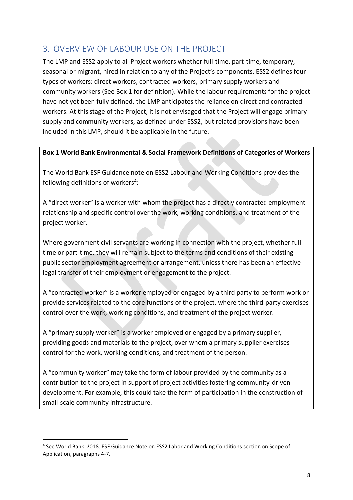# <span id="page-8-0"></span>3. OVERVIEW OF LABOUR USE ON THE PROJECT

The LMP and ESS2 apply to all Project workers whether full-time, part-time, temporary, seasonal or migrant, hired in relation to any of the Project's components. ESS2 defines four types of workers: direct workers, contracted workers, primary supply workers and community workers (See Box 1 for definition). While the labour requirements for the project have not yet been fully defined, the LMP anticipates the reliance on direct and contracted workers. At this stage of the Project, it is not envisaged that the Project will engage primary supply and community workers, as defined under ESS2, but related provisions have been included in this LMP, should it be applicable in the future.

## **Box 1 World Bank Environmental & Social Framework Definitions of Categories of Workers**

The World Bank ESF Guidance note on ESS2 Labour and Working Conditions provides the following definitions of workers<sup>4</sup>:

A "direct worker" is a worker with whom the project has a directly contracted employment relationship and specific control over the work, working conditions, and treatment of the project worker.

Where government civil servants are working in connection with the project, whether fulltime or part-time, they will remain subject to the terms and conditions of their existing public sector employment agreement or arrangement, unless there has been an effective legal transfer of their employment or engagement to the project.

A "contracted worker" is a worker employed or engaged by a third party to perform work or provide services related to the core functions of the project, where the third-party exercises control over the work, working conditions, and treatment of the project worker.

A "primary supply worker" is a worker employed or engaged by a primary supplier, providing goods and materials to the project, over whom a primary supplier exercises control for the work, working conditions, and treatment of the person.

A "community worker" may take the form of labour provided by the community as a contribution to the project in support of project activities fostering community-driven development. For example, this could take the form of participation in the construction of small-scale community infrastructure.

<sup>1</sup> 4 See World Bank. 2018. ESF Guidance Note on ESS2 Labor and Working Conditions section on Scope of Application, paragraphs 4-7.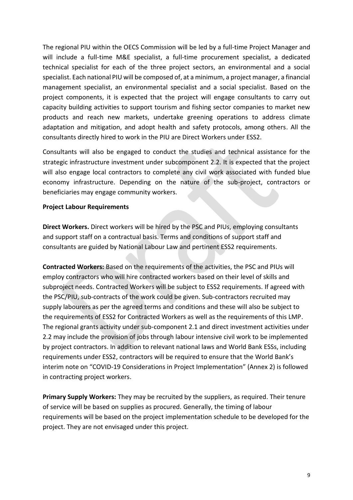The regional PIU within the OECS Commission will be led by a full-time Project Manager and will include a full-time M&E specialist, a full-time procurement specialist, a dedicated technical specialist for each of the three project sectors, an environmental and a social specialist. Each national PIU will be composed of, at a minimum, a project manager, a financial management specialist, an environmental specialist and a social specialist. Based on the project components, it is expected that the project will engage consultants to carry out capacity building activities to support tourism and fishing sector companies to market new products and reach new markets, undertake greening operations to address climate adaptation and mitigation, and adopt health and safety protocols, among others. All the consultants directly hired to work in the PIU are Direct Workers under ESS2.

Consultants will also be engaged to conduct the studies and technical assistance for the strategic infrastructure investment under subcomponent 2.2. It is expected that the project will also engage local contractors to complete any civil work associated with funded blue economy infrastructure. Depending on the nature of the sub-project, contractors or beneficiaries may engage community workers.

### **Project Labour Requirements**

**Direct Workers.** Direct workers will be hired by the PSC and PIUs, employing consultants and support staff on a contractual basis. Terms and conditions of support staff and consultants are guided by National Labour Law and pertinent ESS2 requirements.

**Contracted Workers:** Based on the requirements of the activities, the PSC and PIUs will employ contractors who will hire contracted workers based on their level of skills and subproject needs. Contracted Workers will be subject to ESS2 requirements. If agreed with the PSC/PIU, sub-contracts of the work could be given. Sub-contractors recruited may supply labourers as per the agreed terms and conditions and these will also be subject to the requirements of ESS2 for Contracted Workers as well as the requirements of this LMP. The regional grants activity under sub-component 2.1 and direct investment activities under 2.2 may include the provision of jobs through labour intensive civil work to be implemented by project contractors. In addition to relevant national laws and World Bank ESSs, including requirements under ESS2, contractors will be required to ensure that the World Bank's interim note on "COVID-19 Considerations in Project Implementation" (Annex 2) is followed in contracting project workers.

**Primary Supply Workers:** They may be recruited by the suppliers, as required. Their tenure of service will be based on supplies as procured. Generally, the timing of labour requirements will be based on the project implementation schedule to be developed for the project. They are not envisaged under this project.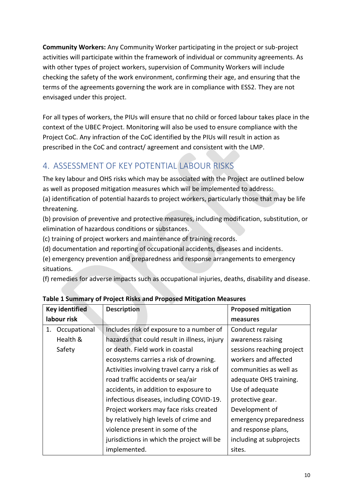**Community Workers:** Any Community Worker participating in the project or sub-project activities will participate within the framework of individual or community agreements. As with other types of project workers, supervision of Community Workers will include checking the safety of the work environment, confirming their age, and ensuring that the terms of the agreements governing the work are in compliance with ESS2. They are not envisaged under this project.

For all types of workers, the PIUs will ensure that no child or forced labour takes place in the context of the UBEC Project. Monitoring will also be used to ensure compliance with the Project CoC. Any infraction of the CoC identified by the PIUs will result in action as prescribed in the CoC and contract/ agreement and consistent with the LMP.

# <span id="page-10-0"></span>4. ASSESSMENT OF KEY POTENTIAL LABOUR RISKS

The key labour and OHS risks which may be associated with the Project are outlined below as well as proposed mitigation measures which will be implemented to address:

(a) identification of potential hazards to project workers, particularly those that may be life threatening.

(b) provision of preventive and protective measures, including modification, substitution, or elimination of hazardous conditions or substances.

(c) training of project workers and maintenance of training records.

(d) documentation and reporting of occupational accidents, diseases and incidents.

(e) emergency prevention and preparedness and response arrangements to emergency situations.

(f) remedies for adverse impacts such as occupational injuries, deaths, disability and disease.

| <b>Key identified</b> |              | <b>Description</b>                           | <b>Proposed mitigation</b> |
|-----------------------|--------------|----------------------------------------------|----------------------------|
| labour risk           |              |                                              | measures                   |
| 1.                    | Occupational | Includes risk of exposure to a number of     | Conduct regular            |
|                       | Health &     | hazards that could result in illness, injury | awareness raising          |
|                       | Safety       | or death. Field work in coastal              | sessions reaching project  |
|                       |              | ecosystems carries a risk of drowning.       | workers and affected       |
|                       |              | Activities involving travel carry a risk of  | communities as well as     |
|                       |              | road traffic accidents or sea/air            | adequate OHS training.     |
|                       |              | accidents, in addition to exposure to        | Use of adequate            |
|                       |              | infectious diseases, including COVID-19.     | protective gear.           |
|                       |              | Project workers may face risks created       | Development of             |
|                       |              | by relatively high levels of crime and       | emergency preparedness     |
|                       |              | violence present in some of the              | and response plans,        |
|                       |              | jurisdictions in which the project will be   | including at subprojects   |
|                       |              | implemented.                                 | sites.                     |

**Table 1 Summary of Project Risks and Proposed Mitigation Measures**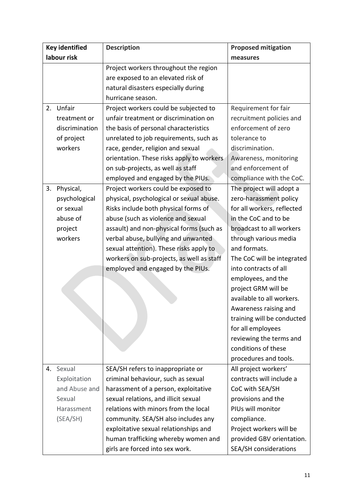| <b>Key identified</b> |                | <b>Description</b>                        | <b>Proposed mitigation</b>   |
|-----------------------|----------------|-------------------------------------------|------------------------------|
| labour risk           |                |                                           | measures                     |
|                       |                | Project workers throughout the region     |                              |
|                       |                | are exposed to an elevated risk of        |                              |
|                       |                | natural disasters especially during       |                              |
|                       |                | hurricane season.                         |                              |
| 2.                    | Unfair         | Project workers could be subjected to     | Requirement for fair         |
|                       | treatment or   | unfair treatment or discrimination on     | recruitment policies and     |
|                       | discrimination | the basis of personal characteristics     | enforcement of zero          |
|                       | of project     | unrelated to job requirements, such as    | tolerance to                 |
|                       | workers        | race, gender, religion and sexual         | discrimination.              |
|                       |                | orientation. These risks apply to workers | Awareness, monitoring        |
|                       |                | on sub-projects, as well as staff         | and enforcement of           |
|                       |                | employed and engaged by the PIUs.         | compliance with the CoC.     |
| 3.                    | Physical,      | Project workers could be exposed to       | The project will adopt a     |
|                       | psychological  | physical, psychological or sexual abuse.  | zero-harassment policy       |
|                       | or sexual      | Risks include both physical forms of      | for all workers, reflected   |
|                       | abuse of       | abuse (such as violence and sexual        | in the CoC and to be         |
|                       | project        | assault) and non-physical forms (such as  | broadcast to all workers     |
|                       | workers        | verbal abuse, bullying and unwanted       | through various media        |
|                       |                | sexual attention). These risks apply to   | and formats.                 |
|                       |                | workers on sub-projects, as well as staff | The CoC will be integrated   |
|                       |                | employed and engaged by the PIUs.         | into contracts of all        |
|                       |                |                                           | employees, and the           |
|                       |                |                                           | project GRM will be          |
|                       |                |                                           | available to all workers.    |
|                       |                |                                           | Awareness raising and        |
|                       |                |                                           | training will be conducted   |
|                       |                |                                           | for all employees            |
|                       |                |                                           | reviewing the terms and      |
|                       |                |                                           | conditions of these          |
|                       |                |                                           | procedures and tools.        |
| 4.                    | Sexual         | SEA/SH refers to inappropriate or         | All project workers'         |
|                       | Exploitation   | criminal behaviour, such as sexual        | contracts will include a     |
|                       | and Abuse and  | harassment of a person, exploitative      | CoC with SEA/SH              |
|                       | Sexual         | sexual relations, and illicit sexual      | provisions and the           |
|                       | Harassment     | relations with minors from the local      | PIUs will monitor            |
|                       | (SEA/SH)       | community. SEA/SH also includes any       | compliance.                  |
|                       |                | exploitative sexual relationships and     | Project workers will be      |
|                       |                | human trafficking whereby women and       | provided GBV orientation.    |
|                       |                | girls are forced into sex work.           | <b>SEA/SH considerations</b> |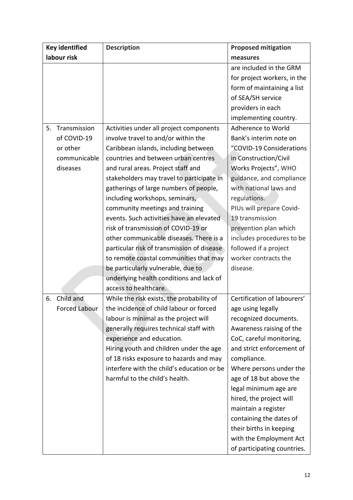| <b>Key identified</b> |                      | <b>Description</b>                         | <b>Proposed mitigation</b>  |
|-----------------------|----------------------|--------------------------------------------|-----------------------------|
| labour risk           |                      |                                            | measures                    |
|                       |                      |                                            | are included in the GRM     |
|                       |                      |                                            | for project workers, in the |
|                       |                      |                                            | form of maintaining a list  |
|                       |                      |                                            | of SEA/SH service           |
|                       |                      |                                            | providers in each           |
|                       |                      |                                            | implementing country.       |
| 5.                    | Transmission         | Activities under all project components    | Adherence to World          |
|                       | of COVID-19          | involve travel to and/or within the        | Bank's interim note on      |
|                       | or other             | Caribbean islands, including between       | "COVID-19 Considerations    |
|                       | communicable         | countries and between urban centres        | in Construction/Civil       |
|                       | diseases             | and rural areas. Project staff and         | Works Projects", WHO        |
|                       |                      | stakeholders may travel to participate in  | guidance, and compliance    |
|                       |                      | gatherings of large numbers of people,     | with national laws and      |
|                       |                      | including workshops, seminars,             | regulations.                |
|                       |                      | community meetings and training            | PIUs will prepare Covid-    |
|                       |                      | events. Such activities have an elevated   | 19 transmission             |
|                       |                      | risk of transmission of COVID-19 or        | prevention plan which       |
|                       |                      | other communicable diseases. There is a    | includes procedures to be   |
|                       |                      | particular risk of transmission of disease | followed if a project       |
|                       |                      | to remote coastal communities that may     | worker contracts the        |
|                       |                      | be particularly vulnerable, due to         | disease.                    |
|                       |                      | underlying health conditions and lack of   |                             |
|                       |                      | access to healthcare.                      |                             |
| 6.                    | Child and            | While the risk exists, the probability of  | Certification of labourers' |
|                       | <b>Forced Labour</b> | the incidence of child labour or forced    | age using legally           |
|                       |                      | labour is minimal as the project will      | recognized documents.       |
|                       |                      | generally requires technical staff with    | Awareness raising of the    |
|                       |                      | experience and education.                  | CoC, careful monitoring,    |
|                       |                      | Hiring youth and children under the age    | and strict enforcement of   |
|                       |                      | of 18 risks exposure to hazards and may    | compliance.                 |
|                       |                      | interfere with the child's education or be | Where persons under the     |
|                       |                      | harmful to the child's health.             | age of 18 but above the     |
|                       |                      |                                            | legal minimum age are       |
|                       |                      |                                            | hired, the project will     |
|                       |                      |                                            | maintain a register         |
|                       |                      |                                            | containing the dates of     |
|                       |                      |                                            | their births in keeping     |
|                       |                      |                                            | with the Employment Act     |
|                       |                      |                                            | of participating countries. |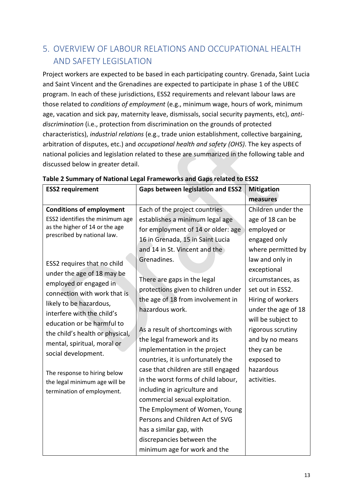# <span id="page-13-0"></span>5. OVERVIEW OF LABOUR RELATIONS AND OCCUPATIONAL HEALTH AND SAFETY LEGISLATION

Project workers are expected to be based in each participating country. Grenada, Saint Lucia and Saint Vincent and the Grenadines are expected to participate in phase 1 of the UBEC program. In each of these jurisdictions, ESS2 requirements and relevant labour laws are those related to *conditions of employment* (e.g., minimum wage, hours of work, minimum age, vacation and sick pay, maternity leave, dismissals, social security payments, etc), *antidiscrimination* (i.e., protection from discrimination on the grounds of protected characteristics), *industrial relations* (e.g., trade union establishment, collective bargaining, arbitration of disputes, etc.) and *occupational health and safety (OHS)*. The key aspects of national policies and legislation related to these are summarized in the following table and discussed below in greater detail.

| <b>ESS2</b> requirement                                       | <b>Gaps between legislation and ESS2</b> | <b>Mitigation</b>   |
|---------------------------------------------------------------|------------------------------------------|---------------------|
|                                                               |                                          | measures            |
| <b>Conditions of employment</b>                               | Each of the project countries            | Children under the  |
| ESS2 identifies the minimum age                               | establishes a minimum legal age          | age of 18 can be    |
| as the higher of 14 or the age<br>prescribed by national law. | for employment of 14 or older: age       | employed or         |
|                                                               | 16 in Grenada, 15 in Saint Lucia         | engaged only        |
|                                                               | and 14 in St. Vincent and the            | where permitted by  |
| ESS2 requires that no child                                   | Grenadines.                              | law and only in     |
| under the age of 18 may be                                    |                                          | exceptional         |
| employed or engaged in                                        | There are gaps in the legal              | circumstances, as   |
| connection with work that is                                  | protections given to children under      | set out in ESS2.    |
| likely to be hazardous,                                       | the age of 18 from involvement in        | Hiring of workers   |
| interfere with the child's                                    | hazardous work.                          | under the age of 18 |
| education or be harmful to                                    |                                          | will be subject to  |
| the child's health or physical,                               | As a result of shortcomings with         | rigorous scrutiny   |
| mental, spiritual, moral or                                   | the legal framework and its              | and by no means     |
| social development.                                           | implementation in the project            | they can be         |
|                                                               | countries, it is unfortunately the       | exposed to          |
| The response to hiring below                                  | case that children are still engaged     | hazardous           |
| the legal minimum age will be                                 | in the worst forms of child labour,      | activities.         |
| termination of employment.                                    | including in agriculture and             |                     |
|                                                               | commercial sexual exploitation.          |                     |
|                                                               | The Employment of Women, Young           |                     |
|                                                               | Persons and Children Act of SVG          |                     |
|                                                               | has a similar gap, with                  |                     |
|                                                               | discrepancies between the                |                     |
|                                                               | minimum age for work and the             |                     |

### **Table 2 Summary of National Legal Frameworks and Gaps related to ESS2**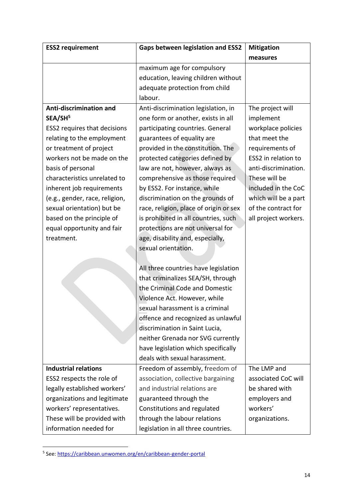| <b>ESS2</b> requirement        | <b>Gaps between legislation and ESS2</b> | <b>Mitigation</b>    |
|--------------------------------|------------------------------------------|----------------------|
|                                |                                          | measures             |
|                                | maximum age for compulsory               |                      |
|                                | education, leaving children without      |                      |
|                                | adequate protection from child           |                      |
|                                | labour.                                  |                      |
| Anti-discrimination and        | Anti-discrimination legislation, in      | The project will     |
| SEA/SH <sup>5</sup>            | one form or another, exists in all       | implement            |
| ESS2 requires that decisions   | participating countries. General         | workplace policies   |
| relating to the employment     | guarantees of equality are               | that meet the        |
| or treatment of project        | provided in the constitution. The        | requirements of      |
| workers not be made on the     | protected categories defined by          | ESS2 in relation to  |
| basis of personal              | law are not, however, always as          | anti-discrimination. |
| characteristics unrelated to   | comprehensive as those required          | These will be        |
| inherent job requirements      | by ESS2. For instance, while             | included in the CoC  |
| (e.g., gender, race, religion, | discrimination on the grounds of         | which will be a part |
| sexual orientation) but be     | race, religion, place of origin or sex   | of the contract for  |
| based on the principle of      | is prohibited in all countries, such     | all project workers. |
| equal opportunity and fair     | protections are not universal for        |                      |
| treatment.                     | age, disability and, especially,         |                      |
|                                | sexual orientation.                      |                      |
|                                |                                          |                      |
|                                | All three countries have legislation     |                      |
|                                | that criminalizes SEA/SH, through        |                      |
|                                | the Criminal Code and Domestic           |                      |
|                                | Violence Act. However, while             |                      |
|                                | sexual harassment is a criminal          |                      |
|                                | offence and recognized as unlawful       |                      |
|                                | discrimination in Saint Lucia,           |                      |
|                                | neither Grenada nor SVG currently        |                      |
|                                | have legislation which specifically      |                      |
|                                | deals with sexual harassment.            |                      |
| <b>Industrial relations</b>    | Freedom of assembly, freedom of          | The LMP and          |
| ESS2 respects the role of      | association, collective bargaining       | associated CoC will  |
| legally established workers'   | and industrial relations are             | be shared with       |
| organizations and legitimate   | guaranteed through the                   | employers and        |
| workers' representatives.      | Constitutions and regulated              | workers'             |
| These will be provided with    | through the labour relations             | organizations.       |
| information needed for         | legislation in all three countries.      |                      |

 5 See:<https://caribbean.unwomen.org/en/caribbean-gender-portal>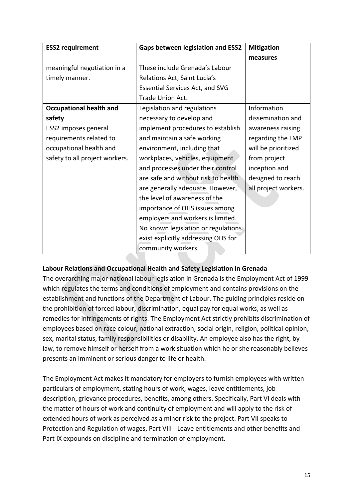| <b>ESS2</b> requirement        | <b>Gaps between legislation and ESS2</b> | <b>Mitigation</b>    |
|--------------------------------|------------------------------------------|----------------------|
|                                |                                          | measures             |
| meaningful negotiation in a    | These include Grenada's Labour           |                      |
| timely manner.                 | Relations Act, Saint Lucia's             |                      |
|                                | <b>Essential Services Act, and SVG</b>   |                      |
|                                | Trade Union Act.                         |                      |
| <b>Occupational health and</b> | Legislation and regulations              | Information          |
| safety                         | necessary to develop and                 | dissemination and    |
| ESS2 imposes general           | implement procedures to establish        | awareness raising    |
| requirements related to        | and maintain a safe working              | regarding the LMP    |
| occupational health and        | environment, including that              | will be prioritized  |
| safety to all project workers. | workplaces, vehicles, equipment          | from project         |
|                                | and processes under their control        | inception and        |
|                                | are safe and without risk to health      | designed to reach    |
|                                | are generally adequate. However,         | all project workers. |
|                                | the level of awareness of the            |                      |
|                                | importance of OHS issues among           |                      |
|                                | employers and workers is limited.        |                      |
|                                | No known legislation or regulations      |                      |
|                                | exist explicitly addressing OHS for      |                      |
|                                | community workers.                       |                      |

## **Labour Relations and Occupational Health and Safety Legislation in Grenada**

The overarching major national labour legislation in Grenada is the Employment Act of 1999 which regulates the terms and conditions of employment and contains provisions on the establishment and functions of the Department of Labour. The guiding principles reside on the prohibition of forced labour, discrimination, equal pay for equal works, as well as remedies for infringements of rights. The Employment Act strictly prohibits discrimination of employees based on race colour, national extraction, social origin, religion, political opinion, sex, marital status, family responsibilities or disability. An employee also has the right, by law, to remove himself or herself from a work situation which he or she reasonably believes presents an imminent or serious danger to life or health.

The Employment Act makes it mandatory for employers to furnish employees with written particulars of employment, stating hours of work, wages, leave entitlements, job description, grievance procedures, benefits, among others. Specifically, Part VI deals with the matter of hours of work and continuity of employment and will apply to the risk of extended hours of work as perceived as a minor risk to the project. Part VII speaks to Protection and Regulation of wages, Part VIII - Leave entitlements and other benefits and Part IX expounds on discipline and termination of employment.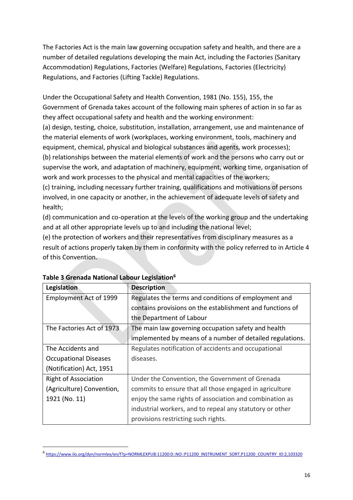The Factories Act is the main law governing occupation safety and health, and there are a number of detailed regulations developing the main Act, including the Factories (Sanitary Accommodation) Regulations, Factories (Welfare) Regulations, Factories (Electricity) Regulations, and Factories (Lifting Tackle) Regulations.

Under the Occupational Safety and Health Convention, 1981 (No. 155), 155, the Government of Grenada takes account of the following main spheres of action in so far as they affect occupational safety and health and the working environment: (a) design, testing, choice, substitution, installation, arrangement, use and maintenance of the material elements of work (workplaces, working environment, tools, machinery and equipment, chemical, physical and biological substances and agents, work processes); (b) relationships between the material elements of work and the persons who carry out or supervise the work, and adaptation of machinery, equipment, working time, organisation of work and work processes to the physical and mental capacities of the workers; (c) training, including necessary further training, qualifications and motivations of persons involved, in one capacity or another, in the achievement of adequate levels of safety and

(d) communication and co-operation at the levels of the working group and the undertaking and at all other appropriate levels up to and including the national level;

(e) the protection of workers and their representatives from disciplinary measures as a result of actions properly taken by them in conformity with the policy referred to in Article 4 of this Convention.

| Legislation                   | <b>Description</b>                                        |
|-------------------------------|-----------------------------------------------------------|
| <b>Employment Act of 1999</b> | Regulates the terms and conditions of employment and      |
|                               | contains provisions on the establishment and functions of |
|                               | the Department of Labour                                  |
| The Factories Act of 1973     | The main law governing occupation safety and health       |
|                               | implemented by means of a number of detailed regulations. |
| The Accidents and             | Regulates notification of accidents and occupational      |
| <b>Occupational Diseases</b>  | diseases.                                                 |
| (Notification) Act, 1951      |                                                           |
| <b>Right of Association</b>   | Under the Convention, the Government of Grenada           |
| (Agriculture) Convention,     | commits to ensure that all those engaged in agriculture   |
| 1921 (No. 11)                 | enjoy the same rights of association and combination as   |
|                               | industrial workers, and to repeal any statutory or other  |
|                               | provisions restricting such rights.                       |

## **Table 3 Grenada National Labour Legislation<sup>6</sup>**

health;

**.** 

<sup>6</sup> [https://www.ilo.org/dyn/normlex/en/f?p=NORMLEXPUB:11200:0::NO::P11200\\_INSTRUMENT\\_SORT,P11200\\_COUNTRY\\_ID:2,103320](https://www.ilo.org/dyn/normlex/en/f?p=NORMLEXPUB:11200:0::NO::P11200_INSTRUMENT_SORT,P11200_COUNTRY_ID:2,103320)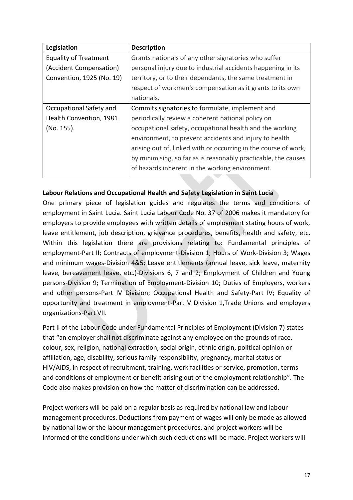| Legislation                  | <b>Description</b>                                              |
|------------------------------|-----------------------------------------------------------------|
| <b>Equality of Treatment</b> | Grants nationals of any other signatories who suffer            |
| (Accident Compensation)      | personal injury due to industrial accidents happening in its    |
| Convention, 1925 (No. 19)    | territory, or to their dependants, the same treatment in        |
|                              | respect of workmen's compensation as it grants to its own       |
|                              | nationals.                                                      |
| Occupational Safety and      | Commits signatories to formulate, implement and                 |
| Health Convention, 1981      | periodically review a coherent national policy on               |
| (No. 155).                   | occupational safety, occupational health and the working        |
|                              | environment, to prevent accidents and injury to health          |
|                              | arising out of, linked with or occurring in the course of work, |
|                              | by minimising, so far as is reasonably practicable, the causes  |
|                              | of hazards inherent in the working environment.                 |
|                              |                                                                 |

## **Labour Relations and Occupational Health and Safety Legislation in Saint Lucia**

One primary piece of legislation guides and regulates the terms and conditions of employment in Saint Lucia. Saint Lucia Labour Code No. 37 of 2006 makes it mandatory for employers to provide employees with written details of employment stating hours of work, leave entitlement, job description, grievance procedures, benefits, health and safety, etc. Within this legislation there are provisions relating to: Fundamental principles of employment-Part II; Contracts of employment-Division 1; Hours of Work-Division 3; Wages and minimum wages-Division 4&5; Leave entitlements (annual leave, sick leave, maternity leave, bereavement leave, etc.)-Divisions 6, 7 and 2; Employment of Children and Young persons-Division 9; Termination of Employment-Division 10; Duties of Employers, workers and other persons-Part IV Division; Occupational Health and Safety-Part IV; Equality of opportunity and treatment in employment-Part V Division 1,Trade Unions and employers organizations-Part VII.

Part II of the Labour Code under Fundamental Principles of Employment (Division 7) states that "an employer shall not discriminate against any employee on the grounds of race, colour, sex, religion, national extraction, social origin, ethnic origin, political opinion or affiliation, age, disability, serious family responsibility, pregnancy, marital status or HIV/AIDS, in respect of recruitment, training, work facilities or service, promotion, terms and conditions of employment or benefit arising out of the employment relationship". The Code also makes provision on how the matter of discrimination can be addressed.

Project workers will be paid on a regular basis as required by national law and labour management procedures. Deductions from payment of wages will only be made as allowed by national law or the labour management procedures, and project workers will be informed of the conditions under which such deductions will be made. Project workers will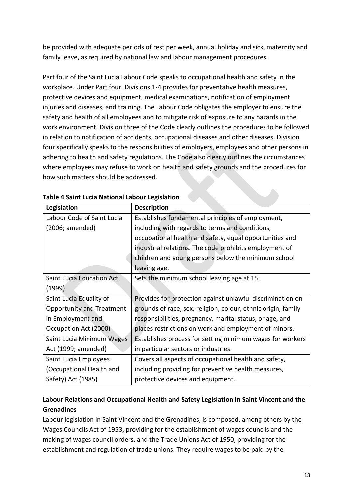be provided with adequate periods of rest per week, annual holiday and sick, maternity and family leave, as required by national law and labour management procedures.

Part four of the Saint Lucia Labour Code speaks to occupational health and safety in the workplace. Under Part four, Divisions 1-4 provides for preventative health measures, protective devices and equipment, medical examinations, notification of employment injuries and diseases, and training. The Labour Code obligates the employer to ensure the safety and health of all employees and to mitigate risk of exposure to any hazards in the work environment. Division three of the Code clearly outlines the procedures to be followed in relation to notification of accidents, occupational diseases and other diseases. Division four specifically speaks to the responsibilities of employers, employees and other persons in adhering to health and safety regulations. The Code also clearly outlines the circumstances where employees may refuse to work on health and safety grounds and the procedures for how such matters should be addressed.

| Legislation                      | <b>Description</b>                                            |
|----------------------------------|---------------------------------------------------------------|
| Labour Code of Saint Lucia       | Establishes fundamental principles of employment,             |
| (2006; amended)                  | including with regards to terms and conditions,               |
|                                  | occupational health and safety, equal opportunities and       |
|                                  | industrial relations. The code prohibits employment of        |
|                                  | children and young persons below the minimum school           |
|                                  | leaving age.                                                  |
| <b>Saint Lucia Education Act</b> | Sets the minimum school leaving age at 15.                    |
| (1999)                           |                                                               |
| Saint Lucia Equality of          | Provides for protection against unlawful discrimination on    |
| <b>Opportunity and Treatment</b> | grounds of race, sex, religion, colour, ethnic origin, family |
| in Employment and                | responsibilities, pregnancy, marital status, or age, and      |
| Occupation Act (2000)            | places restrictions on work and employment of minors.         |
| Saint Lucia Minimum Wages        | Establishes process for setting minimum wages for workers     |
| Act (1999; amended)              | in particular sectors or industries.                          |
| Saint Lucia Employees            | Covers all aspects of occupational health and safety,         |
| (Occupational Health and         | including providing for preventive health measures,           |
| Safety) Act (1985)               | protective devices and equipment.                             |

**Table 4 Saint Lucia National Labour Legislation**

## **Labour Relations and Occupational Health and Safety Legislation in Saint Vincent and the Grenadines**

Labour legislation in Saint Vincent and the Grenadines, is composed, among others by the Wages Councils Act of 1953, providing for the establishment of wages councils and the making of wages council orders, and the Trade Unions Act of 1950, providing for the establishment and regulation of trade unions. They require wages to be paid by the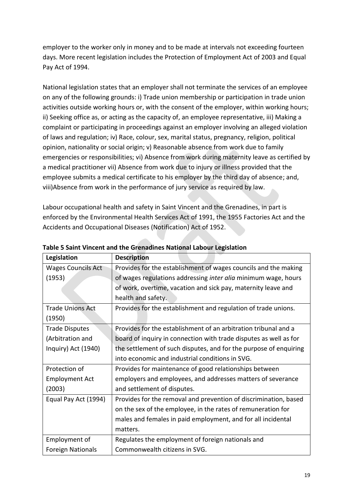employer to the worker only in money and to be made at intervals not exceeding fourteen days. More recent legislation includes the Protection of Employment Act of 2003 and Equal Pay Act of 1994.

National legislation states that an employer shall not terminate the services of an employee on any of the following grounds: i) Trade union membership or participation in trade union activities outside working hours or, with the consent of the employer, within working hours; ii) Seeking office as, or acting as the capacity of, an employee representative, iii) Making a complaint or participating in proceedings against an employer involving an alleged violation of laws and regulation; iv) Race, colour, sex, marital status, pregnancy, religion, political opinion, nationality or social origin; v) Reasonable absence from work due to family emergencies or responsibilities; vi) Absence from work during maternity leave as certified by a medical practitioner vii) Absence from work due to injury or illness provided that the employee submits a medical certificate to his employer by the third day of absence; and, viii)Absence from work in the performance of jury service as required by law.

Labour occupational health and safety in Saint Vincent and the Grenadines, in part is enforced by the Environmental Health Services Act of 1991, the 1955 Factories Act and the Accidents and Occupational Diseases (Notification) Act of 1952.

| Legislation               | <b>Description</b>                                                |
|---------------------------|-------------------------------------------------------------------|
| <b>Wages Councils Act</b> | Provides for the establishment of wages councils and the making   |
| (1953)                    | of wages regulations addressing inter alia minimum wage, hours    |
|                           | of work, overtime, vacation and sick pay, maternity leave and     |
|                           | health and safety.                                                |
| <b>Trade Unions Act</b>   | Provides for the establishment and regulation of trade unions.    |
| (1950)                    |                                                                   |
| <b>Trade Disputes</b>     | Provides for the establishment of an arbitration tribunal and a   |
| (Arbitration and          | board of inquiry in connection with trade disputes as well as for |
| Inquiry) Act (1940)       | the settlement of such disputes, and for the purpose of enquiring |
|                           | into economic and industrial conditions in SVG.                   |
| Protection of             | Provides for maintenance of good relationships between            |
| <b>Employment Act</b>     | employers and employees, and addresses matters of severance       |
| (2003)                    | and settlement of disputes.                                       |
| Equal Pay Act (1994)      | Provides for the removal and prevention of discrimination, based  |
|                           | on the sex of the employee, in the rates of remuneration for      |
|                           | males and females in paid employment, and for all incidental      |
|                           | matters.                                                          |
| Employment of             | Regulates the employment of foreign nationals and                 |
| <b>Foreign Nationals</b>  | Commonwealth citizens in SVG.                                     |

**Table 5 Saint Vincent and the Grenadines National Labour Legislation**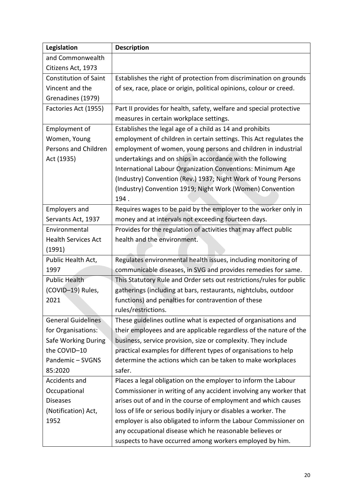| Legislation                  | <b>Description</b>                                                   |
|------------------------------|----------------------------------------------------------------------|
| and Commonwealth             |                                                                      |
| Citizens Act, 1973           |                                                                      |
| <b>Constitution of Saint</b> | Establishes the right of protection from discrimination on grounds   |
| Vincent and the              | of sex, race, place or origin, political opinions, colour or creed.  |
| Grenadines (1979)            |                                                                      |
| Factories Act (1955)         | Part II provides for health, safety, welfare and special protective  |
|                              | measures in certain workplace settings.                              |
| Employment of                | Establishes the legal age of a child as 14 and prohibits             |
| Women, Young                 | employment of children in certain settings. This Act regulates the   |
| Persons and Children         | employment of women, young persons and children in industrial        |
| Act (1935)                   | undertakings and on ships in accordance with the following           |
|                              | International Labour Organization Conventions: Minimum Age           |
|                              | (Industry) Convention (Rev.) 1937; Night Work of Young Persons       |
|                              | (Industry) Convention 1919; Night Work (Women) Convention            |
|                              | 194.                                                                 |
| <b>Employers and</b>         | Requires wages to be paid by the employer to the worker only in      |
| Servants Act, 1937           | money and at intervals not exceeding fourteen days.                  |
| Environmental                | Provides for the regulation of activities that may affect public     |
| <b>Health Services Act</b>   | health and the environment.                                          |
| (1991)                       |                                                                      |
| Public Health Act,           | Regulates environmental health issues, including monitoring of       |
| 1997                         | communicable diseases, in SVG and provides remedies for same.        |
| <b>Public Health</b>         | This Statutory Rule and Order sets out restrictions/rules for public |
| (COVID-19) Rules,            | gatherings (including at bars, restaurants, nightclubs, outdoor      |
| 2021                         | functions) and penalties for contravention of these                  |
|                              | rules/restrictions.                                                  |
| <b>General Guidelines</b>    | These guidelines outline what is expected of organisations and       |
| for Organisations:           | their employees and are applicable regardless of the nature of the   |
| Safe Working During          | business, service provision, size or complexity. They include        |
| the COVID-10                 | practical examples for different types of organisations to help      |
| Pandemic-SVGNS               | determine the actions which can be taken to make workplaces          |
| 85:2020                      | safer.                                                               |
| Accidents and                | Places a legal obligation on the employer to inform the Labour       |
| Occupational                 | Commissioner in writing of any accident involving any worker that    |
| <b>Diseases</b>              | arises out of and in the course of employment and which causes       |
| (Notification) Act,          | loss of life or serious bodily injury or disables a worker. The      |
| 1952                         | employer is also obligated to inform the Labour Commissioner on      |
|                              | any occupational disease which he reasonable believes or             |
|                              | suspects to have occurred among workers employed by him.             |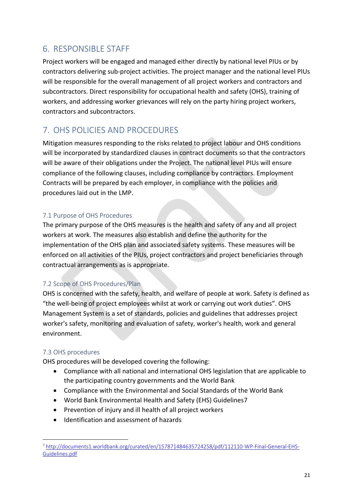## <span id="page-21-0"></span>6. RESPONSIBLE STAFF

Project workers will be engaged and managed either directly by national level PIUs or by contractors delivering sub-project activities. The project manager and the national level PIUs will be responsible for the overall management of all project workers and contractors and subcontractors. Direct responsibility for occupational health and safety (OHS), training of workers, and addressing worker grievances will rely on the party hiring project workers, contractors and subcontractors.

# <span id="page-21-1"></span>7. OHS POLICIES AND PROCEDURES

Mitigation measures responding to the risks related to project labour and OHS conditions will be incorporated by standardized clauses in contract documents so that the contractors will be aware of their obligations under the Project. The national level PIUs will ensure compliance of the following clauses, including compliance by contractors. Employment Contracts will be prepared by each employer, in compliance with the policies and procedures laid out in the LMP.

## <span id="page-21-2"></span>7.1 Purpose of OHS Procedures

The primary purpose of the OHS measures is the health and safety of any and all project workers at work. The measures also establish and define the authority for the implementation of the OHS plan and associated safety systems. These measures will be enforced on all activities of the PIUs, project contractors and project beneficiaries through contractual arrangements as is appropriate.

## <span id="page-21-3"></span>7.2 Scope of OHS Procedures/Plan

OHS is concerned with the safety, health, and welfare of people at work. Safety is defined as "the well-being of project employees whilst at work or carrying out work duties". OHS Management System is a set of standards, policies and guidelines that addresses project worker's safety, monitoring and evaluation of safety, worker's health, work and general environment.

## <span id="page-21-4"></span>7.3 OHS procedures

1

OHS procedures will be developed covering the following:

- Compliance with all national and international OHS legislation that are applicable to the participating country governments and the World Bank
- Compliance with the Environmental and Social Standards of the World Bank
- World Bank Environmental Health and Safety (EHS) Guidelines7
- Prevention of injury and ill health of all project workers
- $\bullet$  Identification and assessment of hazards

<sup>7</sup> [http://documents1.worldbank.org/curated/en/157871484635724258/pdf/112110-WP-Final-General-EHS-](http://documents1.worldbank.org/curated/en/157871484635724258/pdf/112110-WP-Final-General-EHS-Guidelines.pdf)[Guidelines.pdf](http://documents1.worldbank.org/curated/en/157871484635724258/pdf/112110-WP-Final-General-EHS-Guidelines.pdf)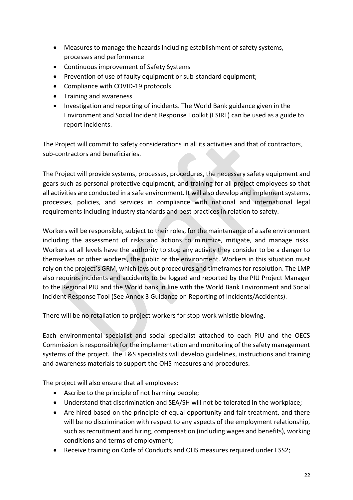- Measures to manage the hazards including establishment of safety systems, processes and performance
- Continuous improvement of Safety Systems
- Prevention of use of faulty equipment or sub-standard equipment;
- Compliance with COVID-19 protocols
- Training and awareness
- Investigation and reporting of incidents. The World Bank guidance given in the Environment and Social Incident Response Toolkit (ESIRT) can be used as a guide to report incidents.

The Project will commit to safety considerations in all its activities and that of contractors, sub-contractors and beneficiaries.

The Project will provide systems, processes, procedures, the necessary safety equipment and gears such as personal protective equipment, and training for all project employees so that all activities are conducted in a safe environment. It will also develop and implement systems, processes, policies, and services in compliance with national and international legal requirements including industry standards and best practices in relation to safety.

Workers will be responsible, subject to their roles, for the maintenance of a safe environment including the assessment of risks and actions to minimize, mitigate, and manage risks. Workers at all levels have the authority to stop any activity they consider to be a danger to themselves or other workers, the public or the environment. Workers in this situation must rely on the project's GRM, which lays out procedures and timeframes for resolution. The LMP also requires incidents and accidents to be logged and reported by the PIU Project Manager to the Regional PIU and the World bank in line with the World Bank Environment and Social Incident Response Tool (See Annex 3 Guidance on Reporting of Incidents/Accidents).

There will be no retaliation to project workers for stop-work whistle blowing.

Each environmental specialist and social specialist attached to each PIU and the OECS Commission is responsible for the implementation and monitoring of the safety management systems of the project. The E&S specialists will develop guidelines, instructions and training and awareness materials to support the OHS measures and procedures.

The project will also ensure that all employees:

- Ascribe to the principle of not harming people;
- Understand that discrimination and SEA/SH will not be tolerated in the workplace;
- Are hired based on the principle of equal opportunity and fair treatment, and there will be no discrimination with respect to any aspects of the employment relationship, such as recruitment and hiring, compensation (including wages and benefits), working conditions and terms of employment;
- Receive training on Code of Conducts and OHS measures required under ESS2;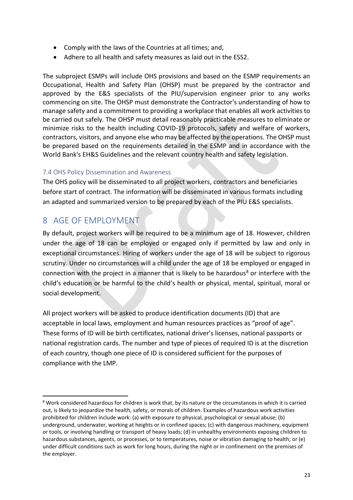- Comply with the laws of the Countries at all times; and,
- Adhere to all health and safety measures as laid out in the ESS2.

The subproject ESMPs will include OHS provisions and based on the ESMP requirements an Occupational, Health and Safety Plan (OHSP) must be prepared by the contractor and approved by the E&S specialists of the PIU/supervision engineer prior to any works commencing on site. The OHSP must demonstrate the Contractor's understanding of how to manage safety and a commitment to providing a workplace that enables all work activities to be carried out safely. The OHSP must detail reasonably practicable measures to eliminate or minimize risks to the health including COVID-19 protocols, safety and welfare of workers, contractors, visitors, and anyone else who may be affected by the operations. The OHSP must be prepared based on the requirements detailed in the ESMP and in accordance with the World Bank's EH&S Guidelines and the relevant country health and safety legislation.

## <span id="page-23-0"></span>7.4 OHS Policy Dissemination and Awareness

The OHS policy will be disseminated to all project workers, contractors and beneficiaries before start of contract. The information will be disseminated in various formats including an adapted and summarized version to be prepared by each of the PIU E&S specialists.

## <span id="page-23-1"></span>8 AGE OF EMPLOYMENT

**.** 

By default, project workers will be required to be a minimum age of 18. However, children under the age of 18 can be employed or engaged only if permitted by law and only in exceptional circumstances. Hiring of workers under the age of 18 will be subject to rigorous scrutiny. Under no circumstances will a child under the age of 18 be employed or engaged in connection with the project in a manner that is likely to be hazardous<sup>8</sup> or interfere with the child's education or be harmful to the child's health or physical, mental, spiritual, moral or social development.

All project workers will be asked to produce identification documents (ID) that are acceptable in local laws, employment and human resources practices as "proof of age". These forms of ID will be birth certificates, national driver's licenses, national passports or national registration cards. The number and type of pieces of required ID is at the discretion of each country, though one piece of ID is considered sufficient for the purposes of compliance with the LMP.

<sup>&</sup>lt;sup>8</sup> Work considered hazardous for children is work that, by its nature or the circumstances in which it is carried out, is likely to jeopardize the health, safety, or morals of children. Examples of hazardous work activities prohibited for children include work: (a) with exposure to physical, psychological or sexual abuse; (b) underground, underwater, working at heights or in confined spaces; (c) with dangerous machinery, equipment or tools, or involving handling or transport of heavy loads; (d) in unhealthy environments exposing children to hazardous substances, agents, or processes, or to temperatures, noise or vibration damaging to health; or (e) under difficult conditions such as work for long hours, during the night or in confinement on the premises of the employer.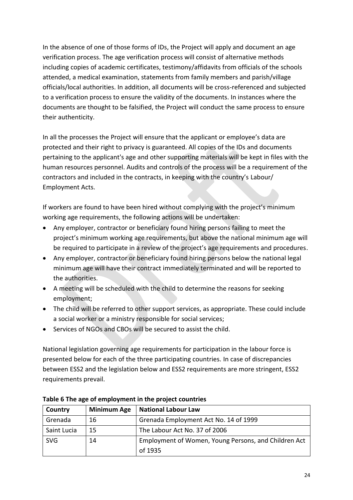In the absence of one of those forms of IDs, the Project will apply and document an age verification process. The age verification process will consist of alternative methods including copies of academic certificates, testimony/affidavits from officials of the schools attended, a medical examination, statements from family members and parish/village officials/local authorities. In addition, all documents will be cross-referenced and subjected to a verification process to ensure the validity of the documents. In instances where the documents are thought to be falsified, the Project will conduct the same process to ensure their authenticity.

In all the processes the Project will ensure that the applicant or employee's data are protected and their right to privacy is guaranteed. All copies of the IDs and documents pertaining to the applicant's age and other supporting materials will be kept in files with the human resources personnel. Audits and controls of the process will be a requirement of the contractors and included in the contracts, in keeping with the country's Labour/ Employment Acts.

If workers are found to have been hired without complying with the project's minimum working age requirements, the following actions will be undertaken:

- Any employer, contractor or beneficiary found hiring persons failing to meet the project's minimum working age requirements, but above the national minimum age will be required to participate in a review of the project's age requirements and procedures.
- Any employer, contractor or beneficiary found hiring persons below the national legal minimum age will have their contract immediately terminated and will be reported to the authorities.
- A meeting will be scheduled with the child to determine the reasons for seeking employment;
- The child will be referred to other support services, as appropriate. These could include a social worker or a ministry responsible for social services;
- Services of NGOs and CBOs will be secured to assist the child.

National legislation governing age requirements for participation in the labour force is presented below for each of the three participating countries. In case of discrepancies between ESS2 and the legislation below and ESS2 requirements are more stringent, ESS2 requirements prevail.

| Country     | <b>Minimum Age</b> | <b>National Labour Law</b>                           |  |
|-------------|--------------------|------------------------------------------------------|--|
| Grenada     | 16                 | Grenada Employment Act No. 14 of 1999                |  |
| Saint Lucia | 15                 | The Labour Act No. 37 of 2006                        |  |
| <b>SVG</b>  | 14                 | Employment of Women, Young Persons, and Children Act |  |
|             |                    | of 1935                                              |  |

**Table 6 The age of employment in the project countries**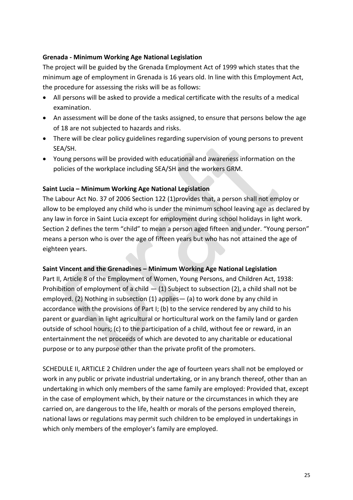## **Grenada - Minimum Working Age National Legislation**

The project will be guided by the Grenada Employment Act of 1999 which states that the minimum age of employment in Grenada is 16 years old. In line with this Employment Act, the procedure for assessing the risks will be as follows:

- All persons will be asked to provide a medical certificate with the results of a medical examination.
- An assessment will be done of the tasks assigned, to ensure that persons below the age of 18 are not subjected to hazards and risks.
- There will be clear policy guidelines regarding supervision of young persons to prevent SEA/SH.
- Young persons will be provided with educational and awareness information on the policies of the workplace including SEA/SH and the workers GRM.

## **Saint Lucia – Minimum Working Age National Legislation**

The Labour Act No. 37 of 2006 Section 122 (1)provides that, a person shall not employ or allow to be employed any child who is under the minimum school leaving age as declared by any law in force in Saint Lucia except for employment during school holidays in light work. Section 2 defines the term "child" to mean a person aged fifteen and under. "Young person" means a person who is over the age of fifteen years but who has not attained the age of eighteen years.

### **Saint Vincent and the Grenadines – Minimum Working Age National Legislation**

Part II, Article 8 of the Employment of Women, Young Persons, and Children Act, 1938: Prohibition of employment of a child  $-$  (1) Subject to subsection (2), a child shall not be employed. (2) Nothing in subsection (1) applies— (a) to work done by any child in accordance with the provisions of Part I; (b) to the service rendered by any child to his parent or guardian in light agricultural or horticultural work on the family land or garden outside of school hours; (c) to the participation of a child, without fee or reward, in an entertainment the net proceeds of which are devoted to any charitable or educational purpose or to any purpose other than the private profit of the promoters.

SCHEDULE II, ARTICLE 2 Children under the age of fourteen years shall not be employed or work in any public or private industrial undertaking, or in any branch thereof, other than an undertaking in which only members of the same family are employed: Provided that, except in the case of employment which, by their nature or the circumstances in which they are carried on, are dangerous to the life, health or morals of the persons employed therein, national laws or regulations may permit such children to be employed in undertakings in which only members of the employer's family are employed.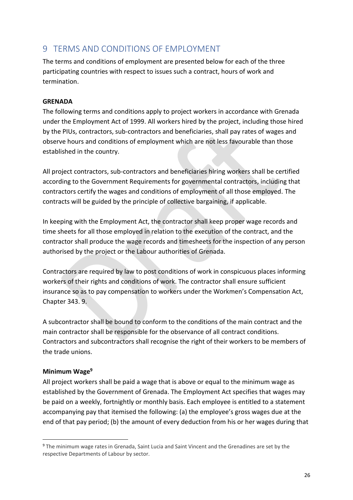## <span id="page-26-0"></span>9 TERMS AND CONDITIONS OF EMPLOYMENT

The terms and conditions of employment are presented below for each of the three participating countries with respect to issues such a contract, hours of work and termination.

## **GRENADA**

The following terms and conditions apply to project workers in accordance with Grenada under the Employment Act of 1999. All workers hired by the project, including those hired by the PIUs, contractors, sub-contractors and beneficiaries, shall pay rates of wages and observe hours and conditions of employment which are not less favourable than those established in the country.

All project contractors, sub-contractors and beneficiaries hiring workers shall be certified according to the Government Requirements for governmental contractors, including that contractors certify the wages and conditions of employment of all those employed. The contracts will be guided by the principle of collective bargaining, if applicable.

In keeping with the Employment Act, the contractor shall keep proper wage records and time sheets for all those employed in relation to the execution of the contract, and the contractor shall produce the wage records and timesheets for the inspection of any person authorised by the project or the Labour authorities of Grenada.

Contractors are required by law to post conditions of work in conspicuous places informing workers of their rights and conditions of work. The contractor shall ensure sufficient insurance so as to pay compensation to workers under the Workmen's Compensation Act, Chapter 343. 9.

A subcontractor shall be bound to conform to the conditions of the main contract and the main contractor shall be responsible for the observance of all contract conditions. Contractors and subcontractors shall recognise the right of their workers to be members of the trade unions.

## **Minimum Wage<sup>9</sup>**

1

All project workers shall be paid a wage that is above or equal to the minimum wage as established by the Government of Grenada. The Employment Act specifies that wages may be paid on a weekly, fortnightly or monthly basis. Each employee is entitled to a statement accompanying pay that itemised the following: (a) the employee's gross wages due at the end of that pay period; (b) the amount of every deduction from his or her wages during that

<sup>&</sup>lt;sup>9</sup> The minimum wage rates in Grenada, Saint Lucia and Saint Vincent and the Grenadines are set by the respective Departments of Labour by sector.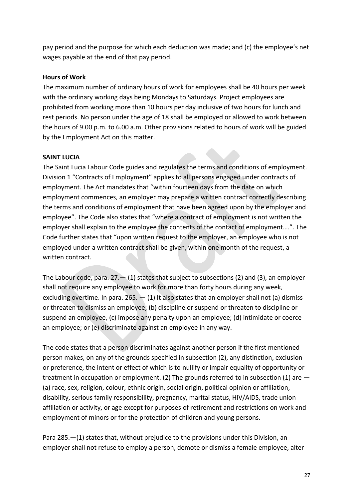pay period and the purpose for which each deduction was made; and (c) the employee's net wages payable at the end of that pay period.

## **Hours of Work**

The maximum number of ordinary hours of work for employees shall be 40 hours per week with the ordinary working days being Mondays to Saturdays. Project employees are prohibited from working more than 10 hours per day inclusive of two hours for lunch and rest periods. No person under the age of 18 shall be employed or allowed to work between the hours of 9.00 p.m. to 6.00 a.m. Other provisions related to hours of work will be guided by the Employment Act on this matter.

## **SAINT LUCIA**

The Saint Lucia Labour Code guides and regulates the terms and conditions of employment. Division 1 "Contracts of Employment" applies to all persons engaged under contracts of employment. The Act mandates that "within fourteen days from the date on which employment commences, an employer may prepare a written contract correctly describing the terms and conditions of employment that have been agreed upon by the employer and employee". The Code also states that "where a contract of employment is not written the employer shall explain to the employee the contents of the contact of employment….". The Code further states that "upon written request to the employer, an employee who is not employed under a written contract shall be given, within one month of the request, a written contract.

The Labour code, para.  $27 - (1)$  states that subject to subsections (2) and (3), an employer shall not require any employee to work for more than forty hours during any week, excluding overtime. In para. 265.  $-$  (1) It also states that an employer shall not (a) dismiss or threaten to dismiss an employee; (b) discipline or suspend or threaten to discipline or suspend an employee, (c) impose any penalty upon an employee; (d) intimidate or coerce an employee; or (e) discriminate against an employee in any way.

The code states that a person discriminates against another person if the first mentioned person makes, on any of the grounds specified in subsection (2), any distinction, exclusion or preference, the intent or effect of which is to nullify or impair equality of opportunity or treatment in occupation or employment. (2) The grounds referred to in subsection (1) are — (a) race, sex, religion, colour, ethnic origin, social origin, political opinion or affiliation, disability, serious family responsibility, pregnancy, marital status, HIV/AIDS, trade union affiliation or activity, or age except for purposes of retirement and restrictions on work and employment of minors or for the protection of children and young persons.

Para 285.—(1) states that, without prejudice to the provisions under this Division, an employer shall not refuse to employ a person, demote or dismiss a female employee, alter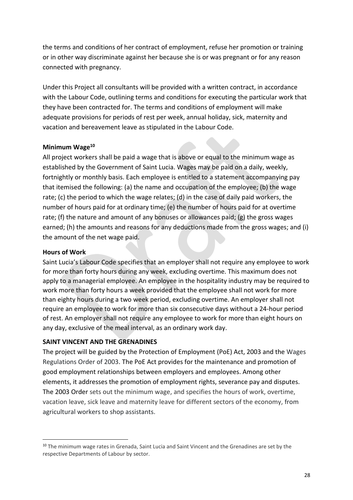the terms and conditions of her contract of employment, refuse her promotion or training or in other way discriminate against her because she is or was pregnant or for any reason connected with pregnancy.

Under this Project all consultants will be provided with a written contract, in accordance with the Labour Code, outlining terms and conditions for executing the particular work that they have been contracted for. The terms and conditions of employment will make adequate provisions for periods of rest per week, annual holiday, sick, maternity and vacation and bereavement leave as stipulated in the Labour Code.

### **Minimum Wage<sup>10</sup>**

All project workers shall be paid a wage that is above or equal to the minimum wage as established by the Government of Saint Lucia. Wages may be paid on a daily, weekly, fortnightly or monthly basis. Each employee is entitled to a statement accompanying pay that itemised the following: (a) the name and occupation of the employee; (b) the wage rate; (c) the period to which the wage relates; (d) in the case of daily paid workers, the number of hours paid for at ordinary time; (e) the number of hours paid for at overtime rate; (f) the nature and amount of any bonuses or allowances paid; (g) the gross wages earned; (h) the amounts and reasons for any deductions made from the gross wages; and (i) the amount of the net wage paid.

## **Hours of Work**

1

Saint Lucia's Labour Code specifies that an employer shall not require any employee to work for more than forty hours during any week, excluding overtime. This maximum does not apply to a managerial employee. An employee in the hospitality industry may be required to work more than forty hours a week provided that the employee shall not work for more than eighty hours during a two week period, excluding overtime. An employer shall not require an employee to work for more than six consecutive days without a 24-hour period of rest. An employer shall not require any employee to work for more than eight hours on any day, exclusive of the meal interval, as an ordinary work day.

## **SAINT VINCENT AND THE GRENADINES**

The project will be guided by the Protection of Employment (PoE) Act, 2003 and the Wages Regulations Order of 2003. The PoE Act provides for the maintenance and promotion of good employment relationships between employers and employees. Among other elements, it addresses the promotion of employment rights, severance pay and disputes. The 2003 Order sets out the minimum wage, and specifies the hours of work, overtime, vacation leave, sick leave and maternity leave for different sectors of the economy, from agricultural workers to shop assistants.

<sup>&</sup>lt;sup>10</sup> The minimum wage rates in Grenada, Saint Lucia and Saint Vincent and the Grenadines are set by the respective Departments of Labour by sector.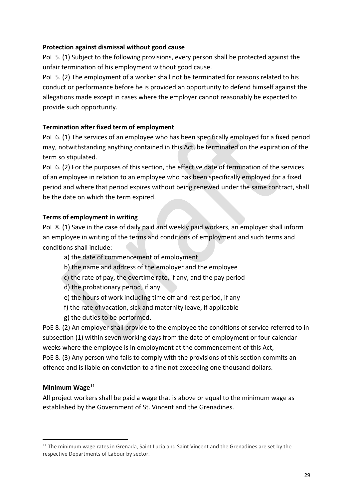## **Protection against dismissal without good cause**

PoE 5. (1) Subject to the following provisions, every person shall be protected against the unfair termination of his employment without good cause.

PoE 5. (2) The employment of a worker shall not be terminated for reasons related to his conduct or performance before he is provided an opportunity to defend himself against the allegations made except in cases where the employer cannot reasonably be expected to provide such opportunity.

## **Termination after fixed term of employment**

PoE 6. (1) The services of an employee who has been specifically employed for a fixed period may, notwithstanding anything contained in this Act, be terminated on the expiration of the term so stipulated.

PoE 6. (2) For the purposes of this section, the effective date of termination of the services of an employee in relation to an employee who has been specifically employed for a fixed period and where that period expires without being renewed under the same contract, shall be the date on which the term expired.

## **Terms of employment in writing**

PoE 8. (1) Save in the case of daily paid and weekly paid workers, an employer shall inform an employee in writing of the terms and conditions of employment and such terms and conditions shall include:

- a) the date of commencement of employment
- b) the name and address of the employer and the employee
- c) the rate of pay, the overtime rate, if any, and the pay period
- d) the probationary period, if any
- e) the hours of work including time off and rest period, if any
- f) the rate of vacation, sick and maternity leave, if applicable
- g) the duties to be performed.

PoE 8. (2) An employer shall provide to the employee the conditions of service referred to in subsection (1) within seven working days from the date of employment or four calendar weeks where the employee is in employment at the commencement of this Act, PoE 8. (3) Any person who fails to comply with the provisions of this section commits an offence and is liable on conviction to a fine not exceeding one thousand dollars.

## **Minimum Wage<sup>11</sup>**

1

All project workers shall be paid a wage that is above or equal to the minimum wage as established by the Government of St. Vincent and the Grenadines.

<sup>&</sup>lt;sup>11</sup> The minimum wage rates in Grenada, Saint Lucia and Saint Vincent and the Grenadines are set by the respective Departments of Labour by sector.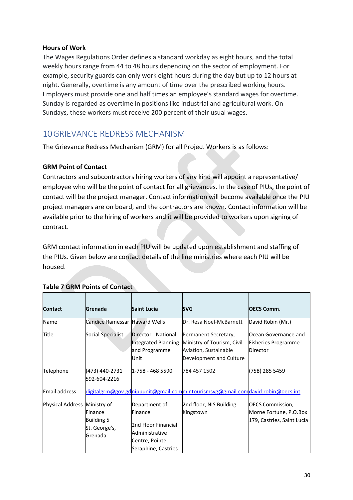### **Hours of Work**

The Wages Regulations Order defines a standard workday as eight hours, and the total weekly hours range from 44 to 48 hours depending on the sector of employment. For example, security guards can only work eight hours during the day but up to 12 hours at night. Generally, overtime is any amount of time over the prescribed working hours. Employers must provide one and half times an employee's standard wages for overtime. Sunday is regarded as overtime in positions like industrial and agricultural work. On Sundays, these workers must receive 200 percent of their usual wages.

## <span id="page-30-0"></span>10GRIEVANCE REDRESS MECHANISM

The Grievance Redress Mechanism (GRM) for all Project Workers is as follows:

## **GRM Point of Contact**

Contractors and subcontractors hiring workers of any kind will appoint a representative/ employee who will be the point of contact for all grievances. In the case of PIUs, the point of contact will be the project manager. Contact information will become available once the PIU project managers are on board, and the contractors are known. Contact information will be available prior to the hiring of workers and it will be provided to workers upon signing of contract.

GRM contact information in each PIU will be updated upon establishment and staffing of the PIUs. Given below are contact details of the line ministries where each PIU will be housed.

| <b>Contact</b>               | Grenada                                                  | <b>Saint Lucia</b>                                                                                         | <b>SVG</b>                                                                                             | <b>OECS Comm.</b>                                                               |
|------------------------------|----------------------------------------------------------|------------------------------------------------------------------------------------------------------------|--------------------------------------------------------------------------------------------------------|---------------------------------------------------------------------------------|
| Name                         | Candice Ramessar Haward Wells                            |                                                                                                            | Dr. Resa Noel-McBarnett                                                                                | David Robin (Mr.)                                                               |
| Title                        | Social Specialist                                        | Director - National<br>Integrated Planning<br>and Programme<br>Unit                                        | Permanent Secretary,<br>Ministry of Tourism, Civil<br>Aviation, Sustainable<br>Development and Culture | Ocean Governance and<br><b>Fisheries Programme</b><br>Director                  |
| Telephone                    | (473) 440-2731<br>592-604-2216                           | 1-758 - 468 5590                                                                                           | 784 457 1502                                                                                           | (758) 285 5459                                                                  |
| Email address                |                                                          |                                                                                                            | digitalgrm@gov.gdnippunit@gmail.commintourismsvg@gmail.comdavid.robin@oecs.int                         |                                                                                 |
| Physical Address Ministry of | Finance<br><b>Building 5</b><br>St. George's,<br>Grenada | Department of<br>Finance<br>2nd Floor Financial<br>Administrative<br>Centre, Pointe<br>Seraphine, Castries | 2nd floor, NIS Building<br>Kingstown                                                                   | <b>OECS Commission,</b><br>Morne Fortune, P.O.Box<br>179, Castries, Saint Lucia |

## **Table 7 GRM Points of Contact**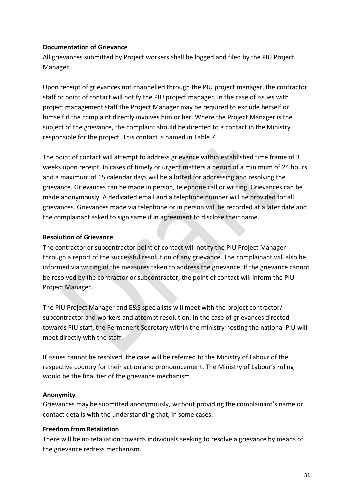## **Documentation of Grievance**

All grievances submitted by Project workers shall be logged and filed by the PIU Project Manager.

Upon receipt of grievances not channelled through the PIU project manager, the contractor staff or point of contact will notify the PIU project manager. In the case of issues with project management staff the Project Manager may be required to exclude herself or himself if the complaint directly involves him or her. Where the Project Manager is the subject of the grievance, the complaint should be directed to a contact in the Ministry responsible for the project. This contact is named in Table 7.

The point of contact will attempt to address grievance within established time frame of 3 weeks upon receipt. In cases of timely or urgent matters a period of a minimum of 24 hours and a maximum of 15 calendar days will be allotted for addressing and resolving the grievance. Grievances can be made in person, telephone call or writing. Grievances can be made anonymously. A dedicated email and a telephone number will be provided for all grievances. Grievances made via telephone or in person will be recorded at a later date and the complainant asked to sign same if in agreement to disclose their name.

## **Resolution of Grievance**

The contractor or subcontractor point of contact will notify the PIU Project Manager through a report of the successful resolution of any grievance. The complainant will also be informed via writing of the measures taken to address the grievance. If the grievance cannot be resolved by the contractor or subcontractor, the point of contact will inform the PIU Project Manager.

The PIU Project Manager and E&S specialists will meet with the project contractor/ subcontractor and workers and attempt resolution. In the case of grievances directed towards PIU staff, the Permanent Secretary within the ministry hosting the national PIU will meet directly with the staff.

If issues cannot be resolved, the case will be referred to the Ministry of Labour of the respective country for their action and pronouncement. The Ministry of Labour's ruling would be the final tier of the grievance mechanism.

## **Anonymity**

Grievances may be submitted anonymously, without providing the complainant's name or contact details with the understanding that, in some cases.

## **Freedom from Retaliation**

There will be no retaliation towards individuals seeking to resolve a grievance by means of the grievance redress mechanism.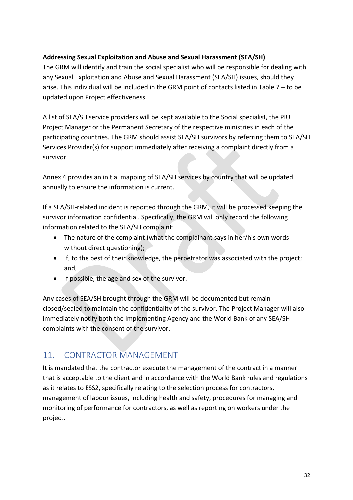## **Addressing Sexual Exploitation and Abuse and Sexual Harassment (SEA/SH)**

The GRM will identify and train the social specialist who will be responsible for dealing with any Sexual Exploitation and Abuse and Sexual Harassment (SEA/SH) issues, should they arise. This individual will be included in the GRM point of contacts listed in Table 7 – to be updated upon Project effectiveness.

A list of SEA/SH service providers will be kept available to the Social specialist, the PIU Project Manager or the Permanent Secretary of the respective ministries in each of the participating countries. The GRM should assist SEA/SH survivors by referring them to SEA/SH Services Provider(s) for support immediately after receiving a complaint directly from a survivor.

Annex 4 provides an initial mapping of SEA/SH services by country that will be updated annually to ensure the information is current.

If a SEA/SH-related incident is reported through the GRM, it will be processed keeping the survivor information confidential. Specifically, the GRM will only record the following information related to the SEA/SH complaint:

- The nature of the complaint (what the complainant says in her/his own words without direct questioning);
- If, to the best of their knowledge, the perpetrator was associated with the project; and,
- If possible, the age and sex of the survivor.

Any cases of SEA/SH brought through the GRM will be documented but remain closed/sealed to maintain the confidentiality of the survivor. The Project Manager will also immediately notify both the Implementing Agency and the World Bank of any SEA/SH complaints with the consent of the survivor.

## <span id="page-32-0"></span>11. CONTRACTOR MANAGEMENT

It is mandated that the contractor execute the management of the contract in a manner that is acceptable to the client and in accordance with the World Bank rules and regulations as it relates to ESS2, specifically relating to the selection process for contractors, management of labour issues, including health and safety, procedures for managing and monitoring of performance for contractors, as well as reporting on workers under the project.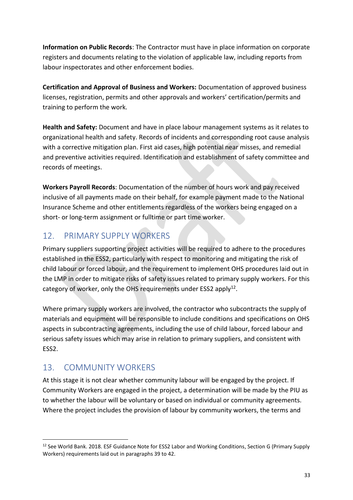**Information on Public Records**: The Contractor must have in place information on corporate registers and documents relating to the violation of applicable law, including reports from labour inspectorates and other enforcement bodies.

**Certification and Approval of Business and Workers:** Documentation of approved business licenses, registration, permits and other approvals and workers' certification/permits and training to perform the work.

**Health and Safety:** Document and have in place labour management systems as it relates to organizational health and safety. Records of incidents and corresponding root cause analysis with a corrective mitigation plan. First aid cases, high potential near misses, and remedial and preventive activities required. Identification and establishment of safety committee and records of meetings.

**Workers Payroll Records**: Documentation of the number of hours work and pay received inclusive of all payments made on their behalf, for example payment made to the National Insurance Scheme and other entitlements regardless of the workers being engaged on a short- or long-term assignment or fulltime or part time worker.

## <span id="page-33-0"></span>12. PRIMARY SUPPLY WORKERS

Primary suppliers supporting project activities will be required to adhere to the procedures established in the ESS2, particularly with respect to monitoring and mitigating the risk of child labour or forced labour, and the requirement to implement OHS procedures laid out in the LMP in order to mitigate risks of safety issues related to primary supply workers. For this category of worker, only the OHS requirements under ESS2 apply<sup>12</sup>.

Where primary supply workers are involved, the contractor who subcontracts the supply of materials and equipment will be responsible to include conditions and specifications on OHS aspects in subcontracting agreements, including the use of child labour, forced labour and serious safety issues which may arise in relation to primary suppliers, and consistent with ESS2.

# <span id="page-33-1"></span>13. COMMUNITY WORKERS

1

At this stage it is not clear whether community labour will be engaged by the project. If Community Workers are engaged in the project, a determination will be made by the PIU as to whether the labour will be voluntary or based on individual or community agreements. Where the project includes the provision of labour by community workers, the terms and

<sup>&</sup>lt;sup>12</sup> See World Bank. 2018. ESF Guidance Note for ESS2 Labor and Working Conditions, Section G (Primary Supply Workers) requirements laid out in paragraphs 39 to 42.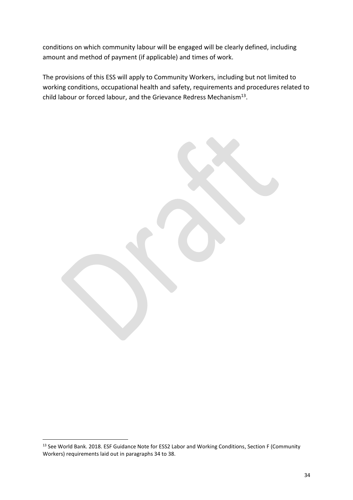conditions on which community labour will be engaged will be clearly defined, including amount and method of payment (if applicable) and times of work.

The provisions of this ESS will apply to Community Workers, including but not limited to working conditions, occupational health and safety, requirements and procedures related to child labour or forced labour, and the Grievance Redress Mechanism<sup>13</sup>.

1

<sup>&</sup>lt;sup>13</sup> See World Bank. 2018. ESF Guidance Note for ESS2 Labor and Working Conditions, Section F (Community Workers) requirements laid out in paragraphs 34 to 38.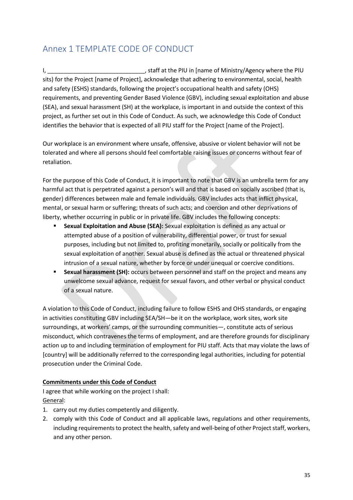# <span id="page-35-0"></span>Annex 1 TEMPLATE CODE OF CONDUCT

I, \_\_\_\_\_\_\_\_\_\_\_\_\_\_\_\_\_\_\_\_\_\_\_\_\_\_\_\_\_\_, staff at the PIU in [name of Ministry/Agency where the PIU sits) for the Project [name of Project], acknowledge that adhering to environmental, social, health and safety (ESHS) standards, following the project's occupational health and safety (OHS) requirements, and preventing Gender Based Violence (GBV), including sexual exploitation and abuse (SEA), and sexual harassment (SH) at the workplace, is important in and outside the context of this project, as further set out in this Code of Conduct. As such, we acknowledge this Code of Conduct identifies the behavior that is expected of all PIU staff for the Project [name of the Project].

Our workplace is an environment where unsafe, offensive, abusive or violent behavior will not be tolerated and where all persons should feel comfortable raising issues or concerns without fear of retaliation.

For the purpose of this Code of Conduct, it is important to note that GBV is an umbrella term for any harmful act that is perpetrated against a person's will and that is based on socially ascribed (that is, gender) differences between male and female individuals. GBV includes acts that inflict physical, mental, or sexual harm or suffering; threats of such acts; and coercion and other deprivations of liberty, whether occurring in public or in private life. GBV includes the following concepts:

- **Sexual Exploitation and Abuse (SEA):** Sexual exploitation is defined as any actual or attempted abuse of a position of vulnerability, differential power, or trust for sexual purposes, including but not limited to, profiting monetarily, socially or politically from the sexual exploitation of another. Sexual abuse is defined as the actual or threatened physical intrusion of a sexual nature, whether by force or under unequal or coercive conditions.
- **Sexual harassment (SH):** occurs between personnel and staff on the project and means any unwelcome sexual advance, request for sexual favors, and other verbal or physical conduct of a sexual nature.

A violation to this Code of Conduct, including failure to follow ESHS and OHS standards, or engaging in activities constituting GBV including SEA/SH—be it on the workplace, work sites, work site surroundings, at workers' camps, or the surrounding communities—, constitute acts of serious misconduct, which contravenes the terms of employment, and are therefore grounds for disciplinary action up to and including termination of employment for PIU staff. Acts that may violate the laws of [country] will be additionally referred to the corresponding legal authorities, including for potential prosecution under the Criminal Code.

## **Commitments under this Code of Conduct**

I agree that while working on the project I shall: General:

- 1. carry out my duties competently and diligently.
- 2. comply with this Code of Conduct and all applicable laws, regulations and other requirements, including requirements to protect the health, safety and well-being of other Project staff, workers, and any other person.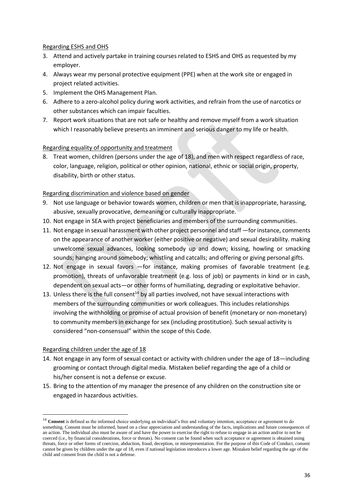### Regarding ESHS and OHS

- 3. Attend and actively partake in training courses related to ESHS and OHS as requested by my employer.
- 4. Always wear my personal protective equipment (PPE) when at the work site or engaged in project related activities.
- 5. Implement the OHS Management Plan.
- 6. Adhere to a zero-alcohol policy during work activities, and refrain from the use of narcotics or other substances which can impair faculties.
- 7. Report work situations that are not safe or healthy and remove myself from a work situation which I reasonably believe presents an imminent and serious danger to my life or health.

### Regarding equality of opportunity and treatment

8. Treat women, children (persons under the age of 18), and men with respect regardless of race, color, language, religion, political or other opinion, national, ethnic or social origin, property, disability, birth or other status.

### Regarding discrimination and violence based on gender

- 9. Not use language or behavior towards women, children or men that is inappropriate, harassing, abusive, sexually provocative, demeaning or culturally inappropriate.
- 10. Not engage in SEA with project beneficiaries and members of the surrounding communities.
- 11. Not engage in sexual harassment with other project personnel and staff —for instance, comments on the appearance of another worker (either positive or negative) and sexual desirability. making unwelcome sexual advances, looking somebody up and down; kissing, howling or smacking sounds; hanging around somebody; whistling and catcalls; and offering or giving personal gifts.
- 12. Not engage in sexual favors —for instance, making promises of favorable treatment (e.g. promotion), threats of unfavorable treatment (e.g. loss of job) or payments in kind or in cash, dependent on sexual acts—or other forms of humiliating, degrading or exploitative behavior.
- 13. Unless there is the full consent<sup>14</sup> by all parties involved, not have sexual interactions with members of the surrounding communities or work colleagues. This includes relationships involving the withholding or promise of actual provision of benefit (monetary or non-monetary) to community members in exchange for sex (including prostitution). Such sexual activity is considered "non-consensual" within the scope of this Code.

### Regarding children under the age of 18

1

- 14. Not engage in any form of sexual contact or activity with children under the age of 18—including grooming or contact through digital media. Mistaken belief regarding the age of a child or his/her consent is not a defense or excuse.
- 15. Bring to the attention of my manager the presence of any children on the construction site or engaged in hazardous activities.

<sup>&</sup>lt;sup>14</sup> Consent is defined as the informed choice underlying an individual's free and voluntary intention, acceptance or agreement to do something. Consent must be informed, based on a clear appreciation and understanding of the facts, implications and future consequences of an action. The individual also must be aware of and have the power to exercise the right to refuse to engage in an action and/or to not be coerced (i.e., by financial considerations, force or threats). No consent can be found when such acceptance or agreement is obtained using threats, force or other forms of coercion, abduction, fraud, deception, or misrepresentation. For the purpose of this Code of Conduct, consent cannot be given by children under the age of 18, even if national legislation introduces a lower age. Mistaken belief regarding the age of the child and consent from the child is not a defense.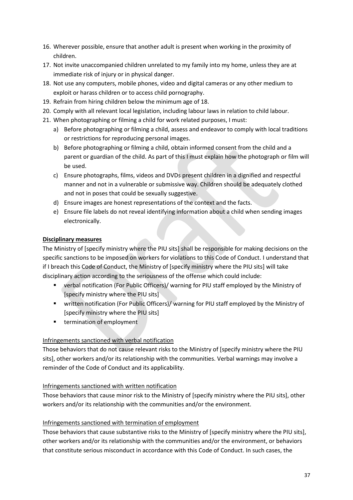- 16. Wherever possible, ensure that another adult is present when working in the proximity of children.
- 17. Not invite unaccompanied children unrelated to my family into my home, unless they are at immediate risk of injury or in physical danger.
- 18. Not use any computers, mobile phones, video and digital cameras or any other medium to exploit or harass children or to access child pornography.
- 19. Refrain from hiring children below the minimum age of 18.
- 20. Comply with all relevant local legislation, including labour laws in relation to child labour.
- 21. When photographing or filming a child for work related purposes, I must:
	- a) Before photographing or filming a child, assess and endeavor to comply with local traditions or restrictions for reproducing personal images.
	- b) Before photographing or filming a child, obtain informed consent from the child and a parent or guardian of the child. As part of this I must explain how the photograph or film will be used.
	- c) Ensure photographs, films, videos and DVDs present children in a dignified and respectful manner and not in a vulnerable or submissive way. Children should be adequately clothed and not in poses that could be sexually suggestive.
	- d) Ensure images are honest representations of the context and the facts.
	- e) Ensure file labels do not reveal identifying information about a child when sending images electronically.

### **Disciplinary measures**

The Ministry of [specify ministry where the PIU sits] shall be responsible for making decisions on the specific sanctions to be imposed on workers for violations to this Code of Conduct. I understand that if I breach this Code of Conduct, the Ministry of [specify ministry where the PIU sits] will take disciplinary action according to the seriousness of the offense which could include:

- verbal notification (For Public Officers)/ warning for PIU staff employed by the Ministry of [specify ministry where the PIU sits]
- written notification (For Public Officers)/ warning for PIU staff employed by the Ministry of [specify ministry where the PIU sits]
- termination of employment

## Infringements sanctioned with verbal notification

Those behaviors that do not cause relevant risks to the Ministry of [specify ministry where the PIU sits], other workers and/or its relationship with the communities. Verbal warnings may involve a reminder of the Code of Conduct and its applicability.

### Infringements sanctioned with written notification

Those behaviors that cause minor risk to the Ministry of [specify ministry where the PIU sits], other workers and/or its relationship with the communities and/or the environment.

### Infringements sanctioned with termination of employment

Those behaviors that cause substantive risks to the Ministry of [specify ministry where the PIU sits], other workers and/or its relationship with the communities and/or the environment, or behaviors that constitute serious misconduct in accordance with this Code of Conduct. In such cases, the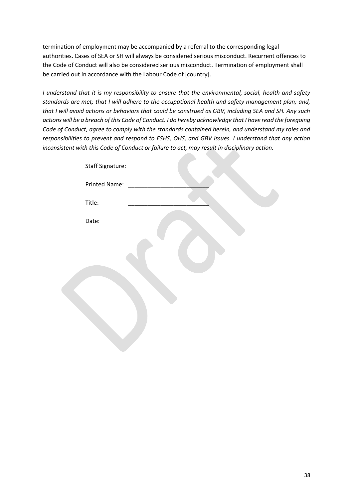termination of employment may be accompanied by a referral to the corresponding legal authorities. Cases of SEA or SH will always be considered serious misconduct. Recurrent offences to the Code of Conduct will also be considered serious misconduct. Termination of employment shall be carried out in accordance with the Labour Code of [country].

*I understand that it is my responsibility to ensure that the environmental, social, health and safety standards are met; that I will adhere to the occupational health and safety management plan; and, that I will avoid actions or behaviors that could be construed as GBV, including SEA and SH. Any such actions will be a breach of this Code of Conduct. I do hereby acknowledge that I have read the foregoing Code of Conduct, agree to comply with the standards contained herein, and understand my roles and responsibilities to prevent and respond to ESHS, OHS, and GBV issues. I understand that any action inconsistent with this Code of Conduct or failure to act, may result in disciplinary action.* 

| Printed Name: |  |  |
|---------------|--|--|
| Title:        |  |  |
| Date:         |  |  |
|               |  |  |
|               |  |  |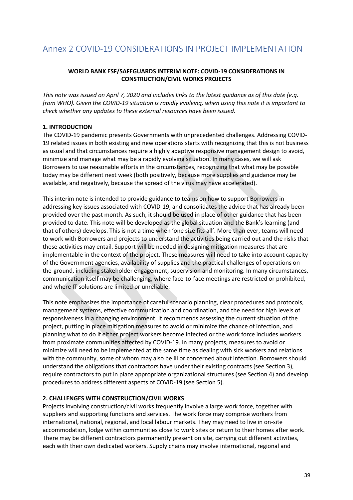## <span id="page-39-0"></span>Annex 2 COVID-19 CONSIDERATIONS IN PROJECT IMPLEMENTATION

### **WORLD BANK ESF/SAFEGUARDS INTERIM NOTE: COVID-19 CONSIDERATIONS IN CONSTRUCTION/CIVIL WORKS PROJECTS**

*This note was issued on April 7, 2020 and includes links to the latest guidance as of this date (e.g. from WHO). Given the COVID-19 situation is rapidly evolving, when using this note it is important to check whether any updates to these external resources have been issued.* 

### **1. INTRODUCTION**

The COVID-19 pandemic presents Governments with unprecedented challenges. Addressing COVID-19 related issues in both existing and new operations starts with recognizing that this is not business as usual and that circumstances require a highly adaptive responsive management design to avoid, minimize and manage what may be a rapidly evolving situation. In many cases, we will ask Borrowers to use reasonable efforts in the circumstances, recognizing that what may be possible today may be different next week (both positively, because more supplies and guidance may be available, and negatively, because the spread of the virus may have accelerated).

This interim note is intended to provide guidance to teams on how to support Borrowers in addressing key issues associated with COVID-19, and consolidates the advice that has already been provided over the past month. As such, it should be used in place of other guidance that has been provided to date. This note will be developed as the global situation and the Bank's learning (and that of others) develops. This is not a time when 'one size fits all'. More than ever, teams will need to work with Borrowers and projects to understand the activities being carried out and the risks that these activities may entail. Support will be needed in designing mitigation measures that are implementable in the context of the project. These measures will need to take into account capacity of the Government agencies, availability of supplies and the practical challenges of operations onthe-ground, including stakeholder engagement, supervision and monitoring. In many circumstances, communication itself may be challenging, where face-to-face meetings are restricted or prohibited, and where IT solutions are limited or unreliable.

This note emphasizes the importance of careful scenario planning, clear procedures and protocols, management systems, effective communication and coordination, and the need for high levels of responsiveness in a changing environment. It recommends assessing the current situation of the project, putting in place mitigation measures to avoid or minimize the chance of infection, and planning what to do if either project workers become infected or the work force includes workers from proximate communities affected by COVID-19. In many projects, measures to avoid or minimize will need to be implemented at the same time as dealing with sick workers and relations with the community, some of whom may also be ill or concerned about infection. Borrowers should understand the obligations that contractors have under their existing contracts (see Section 3), require contractors to put in place appropriate organizational structures (see Section 4) and develop procedures to address different aspects of COVID-19 (see Section 5).

#### **2. CHALLENGES WITH CONSTRUCTION/CIVIL WORKS**

Projects involving construction/civil works frequently involve a large work force, together with suppliers and supporting functions and services. The work force may comprise workers from international, national, regional, and local labour markets. They may need to live in on-site accommodation, lodge within communities close to work sites or return to their homes after work. There may be different contractors permanently present on site, carrying out different activities, each with their own dedicated workers. Supply chains may involve international, regional and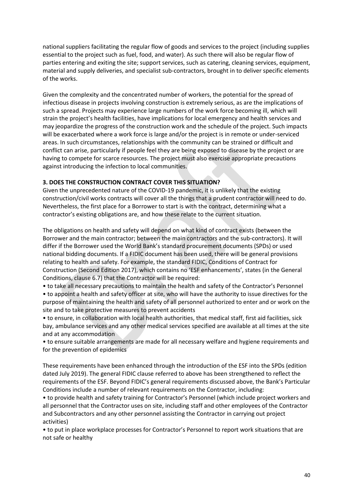national suppliers facilitating the regular flow of goods and services to the project (including supplies essential to the project such as fuel, food, and water). As such there will also be regular flow of parties entering and exiting the site; support services, such as catering, cleaning services, equipment, material and supply deliveries, and specialist sub-contractors, brought in to deliver specific elements of the works.

Given the complexity and the concentrated number of workers, the potential for the spread of infectious disease in projects involving construction is extremely serious, as are the implications of such a spread. Projects may experience large numbers of the work force becoming ill, which will strain the project's health facilities, have implications for local emergency and health services and may jeopardize the progress of the construction work and the schedule of the project. Such impacts will be exacerbated where a work force is large and/or the project is in remote or under-serviced areas. In such circumstances, relationships with the community can be strained or difficult and conflict can arise, particularly if people feel they are being exposed to disease by the project or are having to compete for scarce resources. The project must also exercise appropriate precautions against introducing the infection to local communities.

### **3. DOES THE CONSTRUCTION CONTRACT COVER THIS SITUATION?**

Given the unprecedented nature of the COVID-19 pandemic, it is unlikely that the existing construction/civil works contracts will cover all the things that a prudent contractor will need to do. Nevertheless, the first place for a Borrower to start is with the contract, determining what a contractor's existing obligations are, and how these relate to the current situation.

The obligations on health and safety will depend on what kind of contract exists (between the Borrower and the main contractor; between the main contractors and the sub-contractors). It will differ if the Borrower used the World Bank's standard procurement documents (SPDs) or used national bidding documents. If a FIDIC document has been used, there will be general provisions relating to health and safety. For example, the standard FIDIC, Conditions of Contract for Construction (Second Edition 2017), which contains no 'ESF enhancements', states (in the General Conditions, clause 6.7) that the Contractor will be required:

• to take all necessary precautions to maintain the health and safety of the Contractor's Personnel

• to appoint a health and safety officer at site, who will have the authority to issue directives for the purpose of maintaining the health and safety of all personnel authorized to enter and or work on the site and to take protective measures to prevent accidents

• to ensure, in collaboration with local health authorities, that medical staff, first aid facilities, sick bay, ambulance services and any other medical services specified are available at all times at the site and at any accommodation

• to ensure suitable arrangements are made for all necessary welfare and hygiene requirements and for the prevention of epidemics

These requirements have been enhanced through the introduction of the ESF into the SPDs (edition dated July 2019). The general FIDIC clause referred to above has been strengthened to reflect the requirements of the ESF. Beyond FIDIC's general requirements discussed above, the Bank's Particular Conditions include a number of relevant requirements on the Contractor, including:

• to provide health and safety training for Contractor's Personnel (which include project workers and all personnel that the Contractor uses on site, including staff and other employees of the Contractor and Subcontractors and any other personnel assisting the Contractor in carrying out project activities)

• to put in place workplace processes for Contractor's Personnel to report work situations that are not safe or healthy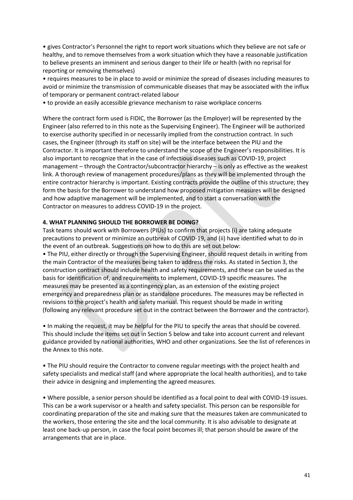• gives Contractor's Personnel the right to report work situations which they believe are not safe or healthy, and to remove themselves from a work situation which they have a reasonable justification to believe presents an imminent and serious danger to their life or health (with no reprisal for reporting or removing themselves)

• requires measures to be in place to avoid or minimize the spread of diseases including measures to avoid or minimize the transmission of communicable diseases that may be associated with the influx of temporary or permanent contract-related labour

• to provide an easily accessible grievance mechanism to raise workplace concerns

Where the contract form used is FIDIC, the Borrower (as the Employer) will be represented by the Engineer (also referred to in this note as the Supervising Engineer). The Engineer will be authorized to exercise authority specified in or necessarily implied from the construction contract. In such cases, the Engineer (through its staff on site) will be the interface between the PIU and the Contractor. It is important therefore to understand the scope of the Engineer's responsibilities. It is also important to recognize that in the case of infectious diseases such as COVID-19, project management – through the Contractor/subcontractor hierarchy – is only as effective as the weakest link. A thorough review of management procedures/plans as they will be implemented through the entire contractor hierarchy is important. Existing contracts provide the outline of this structure; they form the basis for the Borrower to understand how proposed mitigation measures will be designed and how adaptive management will be implemented, and to start a conversation with the Contractor on measures to address COVID-19 in the project.

#### **4. WHAT PLANNING SHOULD THE BORROWER BE DOING?**

Task teams should work with Borrowers (PIUs) to confirm that projects (i) are taking adequate precautions to prevent or minimize an outbreak of COVID-19, and (ii) have identified what to do in the event of an outbreak. Suggestions on how to do this are set out below:

• The PIU, either directly or through the Supervising Engineer, should request details in writing from the main Contractor of the measures being taken to address the risks. As stated in Section 3, the construction contract should include health and safety requirements, and these can be used as the basis for identification of, and requirements to implement, COVID-19 specific measures. The measures may be presented as a contingency plan, as an extension of the existing project emergency and preparedness plan or as standalone procedures. The measures may be reflected in revisions to the project's health and safety manual. This request should be made in writing (following any relevant procedure set out in the contract between the Borrower and the contractor).

• In making the request, it may be helpful for the PIU to specify the areas that should be covered. This should include the items set out in Section 5 below and take into account current and relevant guidance provided by national authorities, WHO and other organizations. See the list of references in the Annex to this note.

• The PIU should require the Contractor to convene regular meetings with the project health and safety specialists and medical staff (and where appropriate the local health authorities), and to take their advice in designing and implementing the agreed measures.

• Where possible, a senior person should be identified as a focal point to deal with COVID-19 issues. This can be a work supervisor or a health and safety specialist. This person can be responsible for coordinating preparation of the site and making sure that the measures taken are communicated to the workers, those entering the site and the local community. It is also advisable to designate at least one back-up person, in case the focal point becomes ill; that person should be aware of the arrangements that are in place.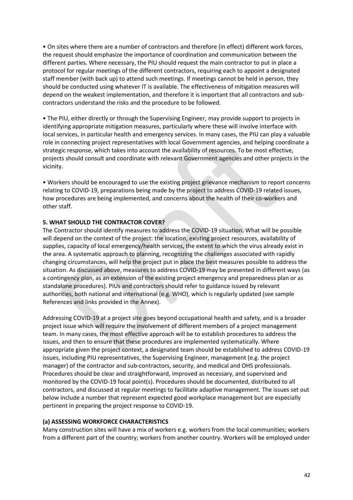• On sites where there are a number of contractors and therefore (in effect) different work forces, the request should emphasize the importance of coordination and communication between the different parties. Where necessary, the PIU should request the main contractor to put in place a protocol for regular meetings of the different contractors, requiring each to appoint a designated staff member (with back up) to attend such meetings. If meetings cannot be held in person, they should be conducted using whatever IT is available. The effectiveness of mitigation measures will depend on the weakest implementation, and therefore it is important that all contractors and subcontractors understand the risks and the procedure to be followed.

• The PIU, either directly or through the Supervising Engineer, may provide support to projects in identifying appropriate mitigation measures, particularly where these will involve interface with local services, in particular health and emergency services. In many cases, the PIU can play a valuable role in connecting project representatives with local Government agencies, and helping coordinate a strategic response, which takes into account the availability of resources. To be most effective, projects should consult and coordinate with relevant Government agencies and other projects in the vicinity.

• Workers should be encouraged to use the existing project grievance mechanism to report concerns relating to COVID-19, preparations being made by the project to address COVID-19 related issues, how procedures are being implemented, and concerns about the health of their co-workers and other staff.

### **5. WHAT SHOULD THE CONTRACTOR COVER?**

The Contractor should identify measures to address the COVID-19 situation. What will be possible will depend on the context of the project: the location, existing project resources, availability of supplies, capacity of local emergency/health services, the extent to which the virus already exist in the area. A systematic approach to planning, recognizing the challenges associated with rapidly changing circumstances, will help the project put in place the best measures possible to address the situation. As discussed above, measures to address COVID-19 may be presented in different ways (as a contingency plan, as an extension of the existing project emergency and preparedness plan or as standalone procedures). PIUs and contractors should refer to guidance issued by relevant authorities, both national and international (e.g. WHO), which is regularly updated (see sample References and links provided in the Annex).

Addressing COVID-19 at a project site goes beyond occupational health and safety, and is a broader project issue which will require the involvement of different members of a project management team. In many cases, the most effective approach will be to establish procedures to address the issues, and then to ensure that these procedures are implemented systematically. Where appropriate given the project context, a designated team should be established to address COVID-19 issues, including PIU representatives, the Supervising Engineer, management (e.g. the project manager) of the contractor and sub-contractors, security, and medical and OHS professionals. Procedures should be clear and straightforward, improved as necessary, and supervised and monitored by the COVID-19 focal point(s). Procedures should be documented, distributed to all contractors, and discussed at regular meetings to facilitate adaptive management. The issues set out below include a number that represent expected good workplace management but are especially pertinent in preparing the project response to COVID-19.

### **(a) ASSESSING WORKFORCE CHARACTERISTICS**

Many construction sites will have a mix of workers e.g. workers from the local communities; workers from a different part of the country; workers from another country. Workers will be employed under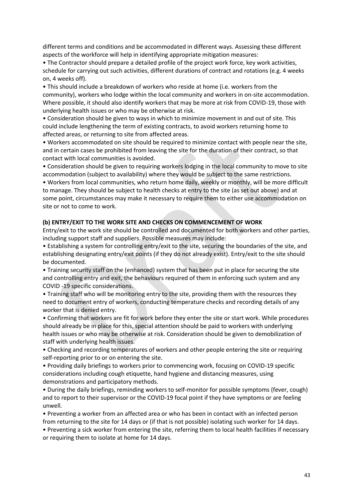different terms and conditions and be accommodated in different ways. Assessing these different aspects of the workforce will help in identifying appropriate mitigation measures:

• The Contractor should prepare a detailed profile of the project work force, key work activities, schedule for carrying out such activities, different durations of contract and rotations (e.g. 4 weeks on, 4 weeks off).

• This should include a breakdown of workers who reside at home (i.e. workers from the community), workers who lodge within the local community and workers in on-site accommodation. Where possible, it should also identify workers that may be more at risk from COVID-19, those with underlying health issues or who may be otherwise at risk.

• Consideration should be given to ways in which to minimize movement in and out of site. This could include lengthening the term of existing contracts, to avoid workers returning home to affected areas, or returning to site from affected areas.

• Workers accommodated on site should be required to minimize contact with people near the site, and in certain cases be prohibited from leaving the site for the duration of their contract, so that contact with local communities is avoided.

• Consideration should be given to requiring workers lodging in the local community to move to site accommodation (subject to availability) where they would be subject to the same restrictions.

• Workers from local communities, who return home daily, weekly or monthly, will be more difficult to manage. They should be subject to health checks at entry to the site (as set out above) and at some point, circumstances may make it necessary to require them to either use accommodation on site or not to come to work.

#### **(b) ENTRY/EXIT TO THE WORK SITE AND CHECKS ON COMMENCEMENT OF WORK**

Entry/exit to the work site should be controlled and documented for both workers and other parties, including support staff and suppliers. Possible measures may include:

• Establishing a system for controlling entry/exit to the site, securing the boundaries of the site, and establishing designating entry/exit points (if they do not already exist). Entry/exit to the site should be documented.

• Training security staff on the (enhanced) system that has been put in place for securing the site and controlling entry and exit, the behaviours required of them in enforcing such system and any COVID -19 specific considerations.

• Training staff who will be monitoring entry to the site, providing them with the resources they need to document entry of workers, conducting temperature checks and recording details of any worker that is denied entry.

• Confirming that workers are fit for work before they enter the site or start work. While procedures should already be in place for this, special attention should be paid to workers with underlying health issues or who may be otherwise at risk. Consideration should be given to demobilization of staff with underlying health issues.

• Checking and recording temperatures of workers and other people entering the site or requiring self-reporting prior to or on entering the site.

• Providing daily briefings to workers prior to commencing work, focusing on COVID-19 specific considerations including cough etiquette, hand hygiene and distancing measures, using demonstrations and participatory methods.

• During the daily briefings, reminding workers to self-monitor for possible symptoms (fever, cough) and to report to their supervisor or the COVID-19 focal point if they have symptoms or are feeling unwell.

• Preventing a worker from an affected area or who has been in contact with an infected person from returning to the site for 14 days or (if that is not possible) isolating such worker for 14 days.

• Preventing a sick worker from entering the site, referring them to local health facilities if necessary or requiring them to isolate at home for 14 days.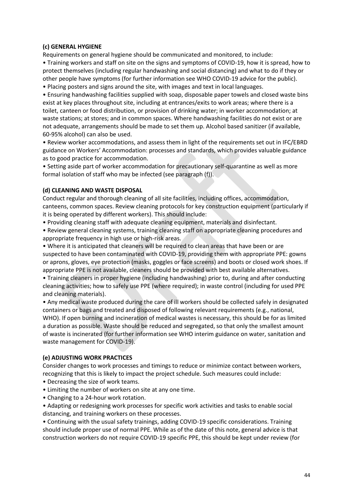### **(c) GENERAL HYGIENE**

Requirements on general hygiene should be communicated and monitored, to include:

• Training workers and staff on site on the signs and symptoms of COVID-19, how it is spread, how to protect themselves (including regular handwashing and social distancing) and what to do if they or other people have symptoms (for further information see WHO COVID-19 advice for the public).

• Placing posters and signs around the site, with images and text in local languages.

• Ensuring handwashing facilities supplied with soap, disposable paper towels and closed waste bins exist at key places throughout site, including at entrances/exits to work areas; where there is a toilet, canteen or food distribution, or provision of drinking water; in worker accommodation; at waste stations; at stores; and in common spaces. Where handwashing facilities do not exist or are not adequate, arrangements should be made to set them up. Alcohol based sanitizer (if available, 60-95% alcohol) can also be used.

• Review worker accommodations, and assess them in light of the requirements set out in IFC/EBRD guidance on Workers' Accommodation: processes and standards, which provides valuable guidance as to good practice for accommodation.

• Setting aside part of worker accommodation for precautionary self-quarantine as well as more formal isolation of staff who may be infected (see paragraph (f)).

### **(d) CLEANING AND WASTE DISPOSAL**

Conduct regular and thorough cleaning of all site facilities, including offices, accommodation, canteens, common spaces. Review cleaning protocols for key construction equipment (particularly if it is being operated by different workers). This should include:

• Providing cleaning staff with adequate cleaning equipment, materials and disinfectant.

• Review general cleaning systems, training cleaning staff on appropriate cleaning procedures and appropriate frequency in high use or high-risk areas.

• Where it is anticipated that cleaners will be required to clean areas that have been or are suspected to have been contaminated with COVID-19, providing them with appropriate PPE: gowns or aprons, gloves, eye protection (masks, goggles or face screens) and boots or closed work shoes. If appropriate PPE is not available, cleaners should be provided with best available alternatives.

• Training cleaners in proper hygiene (including handwashing) prior to, during and after conducting cleaning activities; how to safely use PPE (where required); in waste control (including for used PPE and cleaning materials).

• Any medical waste produced during the care of ill workers should be collected safely in designated containers or bags and treated and disposed of following relevant requirements (e.g., national, WHO). If open burning and incineration of medical wastes is necessary, this should be for as limited a duration as possible. Waste should be reduced and segregated, so that only the smallest amount of waste is incinerated (for further information see WHO interim guidance on water, sanitation and waste management for COVID-19).

### **(e) ADJUSTING WORK PRACTICES**

Consider changes to work processes and timings to reduce or minimize contact between workers, recognizing that this is likely to impact the project schedule. Such measures could include:

- Decreasing the size of work teams.
- Limiting the number of workers on site at any one time.
- Changing to a 24-hour work rotation.
- Adapting or redesigning work processes for specific work activities and tasks to enable social distancing, and training workers on these processes.

• Continuing with the usual safety trainings, adding COVID-19 specific considerations. Training should include proper use of normal PPE. While as of the date of this note, general advice is that construction workers do not require COVID-19 specific PPE, this should be kept under review (for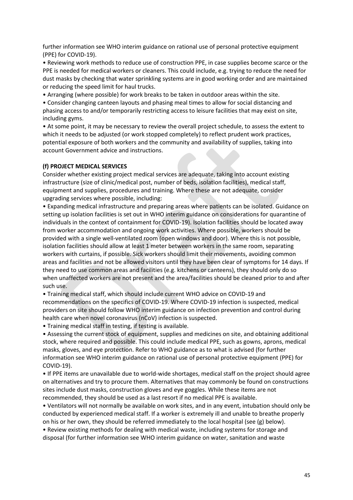further information see WHO interim guidance on rational use of personal protective equipment (PPE) for COVID-19).

• Reviewing work methods to reduce use of construction PPE, in case supplies become scarce or the PPE is needed for medical workers or cleaners. This could include, e.g. trying to reduce the need for dust masks by checking that water sprinkling systems are in good working order and are maintained or reducing the speed limit for haul trucks.

• Arranging (where possible) for work breaks to be taken in outdoor areas within the site.

• Consider changing canteen layouts and phasing meal times to allow for social distancing and phasing access to and/or temporarily restricting access to leisure facilities that may exist on site, including gyms.

• At some point, it may be necessary to review the overall project schedule, to assess the extent to which it needs to be adjusted (or work stopped completely) to reflect prudent work practices, potential exposure of both workers and the community and availability of supplies, taking into account Government advice and instructions.

#### **(f) PROJECT MEDICAL SERVICES**

Consider whether existing project medical services are adequate, taking into account existing infrastructure (size of clinic/medical post, number of beds, isolation facilities), medical staff, equipment and supplies, procedures and training. Where these are not adequate, consider upgrading services where possible, including:

• Expanding medical infrastructure and preparing areas where patients can be isolated. Guidance on setting up isolation facilities is set out in WHO interim guidance on considerations for quarantine of individuals in the context of containment for COVID-19). Isolation facilities should be located away from worker accommodation and ongoing work activities. Where possible, workers should be provided with a single well-ventilated room (open windows and door). Where this is not possible, isolation facilities should allow at least 1 meter between workers in the same room, separating workers with curtains, if possible. Sick workers should limit their movements, avoiding common areas and facilities and not be allowed visitors until they have been clear of symptoms for 14 days. If they need to use common areas and facilities (e.g. kitchens or canteens), they should only do so when unaffected workers are not present and the area/facilities should be cleaned prior to and after such use.

• Training medical staff, which should include current WHO advice on COVID-19 and recommendations on the specifics of COVID-19. Where COVID-19 infection is suspected, medical providers on site should follow WHO interim guidance on infection prevention and control during health care when novel coronavirus (nCoV) infection is suspected.

• Training medical staff in testing, if testing is available.

• Assessing the current stock of equipment, supplies and medicines on site, and obtaining additional stock, where required and possible. This could include medical PPE, such as gowns, aprons, medical masks, gloves, and eye protection. Refer to WHO guidance as to what is advised (for further information see WHO interim guidance on rational use of personal protective equipment (PPE) for COVID-19).

• If PPE items are unavailable due to world-wide shortages, medical staff on the project should agree on alternatives and try to procure them. Alternatives that may commonly be found on constructions sites include dust masks, construction gloves and eye goggles. While these items are not recommended, they should be used as a last resort if no medical PPE is available.

• Ventilators will not normally be available on work sites, and in any event, intubation should only be conducted by experienced medical staff. If a worker is extremely ill and unable to breathe properly on his or her own, they should be referred immediately to the local hospital (see (g) below).

• Review existing methods for dealing with medical waste, including systems for storage and disposal (for further information see WHO interim guidance on water, sanitation and waste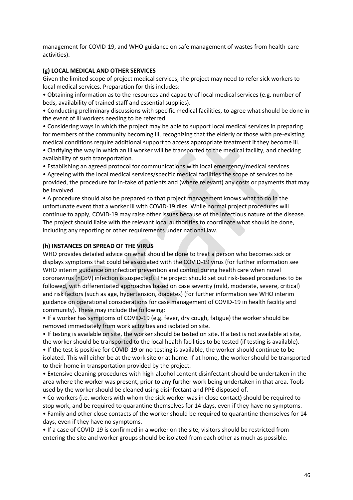management for COVID-19, and WHO guidance on safe management of wastes from health-care activities).

### **(g) LOCAL MEDICAL AND OTHER SERVICES**

Given the limited scope of project medical services, the project may need to refer sick workers to local medical services. Preparation for this includes:

• Obtaining information as to the resources and capacity of local medical services (e.g. number of beds, availability of trained staff and essential supplies).

• Conducting preliminary discussions with specific medical facilities, to agree what should be done in the event of ill workers needing to be referred.

• Considering ways in which the project may be able to support local medical services in preparing for members of the community becoming ill, recognizing that the elderly or those with pre-existing medical conditions require additional support to access appropriate treatment if they become ill.

• Clarifying the way in which an ill worker will be transported to the medical facility, and checking availability of such transportation.

• Establishing an agreed protocol for communications with local emergency/medical services.

• Agreeing with the local medical services/specific medical facilities the scope of services to be provided, the procedure for in-take of patients and (where relevant) any costs or payments that may be involved.

• A procedure should also be prepared so that project management knows what to do in the unfortunate event that a worker ill with COVID-19 dies. While normal project procedures will continue to apply, COVID-19 may raise other issues because of the infectious nature of the disease. The project should liaise with the relevant local authorities to coordinate what should be done, including any reporting or other requirements under national law.

#### **(h) INSTANCES OR SPREAD OF THE VIRUS**

WHO provides detailed advice on what should be done to treat a person who becomes sick or displays symptoms that could be associated with the COVID-19 virus (for further information see WHO interim guidance on infection prevention and control during health care when novel coronavirus (nCoV) infection is suspected). The project should set out risk-based procedures to be followed, with differentiated approaches based on case severity (mild, moderate, severe, critical) and risk factors (such as age, hypertension, diabetes) (for further information see WHO interim guidance on operational considerations for case management of COVID-19 in health facility and community). These may include the following:

• If a worker has symptoms of COVID-19 (e.g. fever, dry cough, fatigue) the worker should be removed immediately from work activities and isolated on site.

• If testing is available on site, the worker should be tested on site. If a test is not available at site, the worker should be transported to the local health facilities to be tested (if testing is available). • If the test is positive for COVID-19 or no testing is available, the worker should continue to be isolated. This will either be at the work site or at home. If at home, the worker should be transported to their home in transportation provided by the project.

• Extensive cleaning procedures with high-alcohol content disinfectant should be undertaken in the area where the worker was present, prior to any further work being undertaken in that area. Tools used by the worker should be cleaned using disinfectant and PPE disposed of.

• Co-workers (i.e. workers with whom the sick worker was in close contact) should be required to stop work, and be required to quarantine themselves for 14 days, even if they have no symptoms. • Family and other close contacts of the worker should be required to quarantine themselves for 14 days, even if they have no symptoms.

• If a case of COVID-19 is confirmed in a worker on the site, visitors should be restricted from entering the site and worker groups should be isolated from each other as much as possible.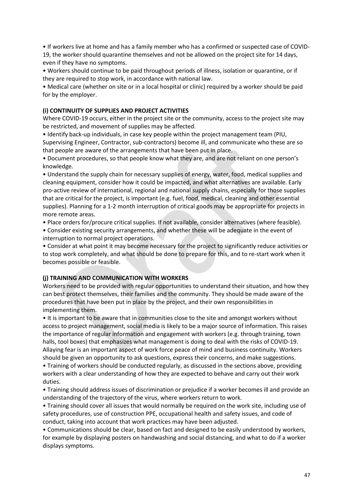• If workers live at home and has a family member who has a confirmed or suspected case of COVID-19, the worker should quarantine themselves and not be allowed on the project site for 14 days, even if they have no symptoms.

• Workers should continue to be paid throughout periods of illness, isolation or quarantine, or if they are required to stop work, in accordance with national law.

• Medical care (whether on site or in a local hospital or clinic) required by a worker should be paid for by the employer.

### **(i) CONTINUITY OF SUPPLIES AND PROJECT ACTIVITIES**

Where COVID-19 occurs, either in the project site or the community, access to the project site may be restricted, and movement of supplies may be affected.

• Identify back-up individuals, in case key people within the project management team (PIU, Supervising Engineer, Contractor, sub-contractors) become ill, and communicate who these are so that people are aware of the arrangements that have been put in place.

• Document procedures, so that people know what they are, and are not reliant on one person's knowledge.

• Understand the supply chain for necessary supplies of energy, water, food, medical supplies and cleaning equipment, consider how it could be impacted, and what alternatives are available. Early pro-active review of international, regional and national supply chains, especially for those supplies that are critical for the project, is important (e.g. fuel, food, medical, cleaning and other essential supplies). Planning for a 1-2 month interruption of critical goods may be appropriate for projects in more remote areas.

• Place orders for/procure critical supplies. If not available, consider alternatives (where feasible).

• Consider existing security arrangements, and whether these will be adequate in the event of interruption to normal project operations.

• Consider at what point it may become necessary for the project to significantly reduce activities or to stop work completely, and what should be done to prepare for this, and to re-start work when it becomes possible or feasible.

### **(j) TRAINING AND COMMUNICATION WITH WORKERS**

Workers need to be provided with regular opportunities to understand their situation, and how they can best protect themselves, their families and the community. They should be made aware of the procedures that have been put in place by the project, and their own responsibilities in implementing them.

• It is important to be aware that in communities close to the site and amongst workers without access to project management, social media is likely to be a major source of information. This raises the importance of regular information and engagement with workers (e.g. through training, town halls, tool boxes) that emphasizes what management is doing to deal with the risks of COVID-19. Allaying fear is an important aspect of work force peace of mind and business continuity. Workers should be given an opportunity to ask questions, express their concerns, and make suggestions.

• Training of workers should be conducted regularly, as discussed in the sections above, providing workers with a clear understanding of how they are expected to behave and carry out their work duties.

• Training should address issues of discrimination or prejudice if a worker becomes ill and provide an understanding of the trajectory of the virus, where workers return to work.

• Training should cover all issues that would normally be required on the work site, including use of safety procedures, use of construction PPE, occupational health and safety issues, and code of conduct, taking into account that work practices may have been adjusted.

• Communications should be clear, based on fact and designed to be easily understood by workers, for example by displaying posters on handwashing and social distancing, and what to do if a worker displays symptoms.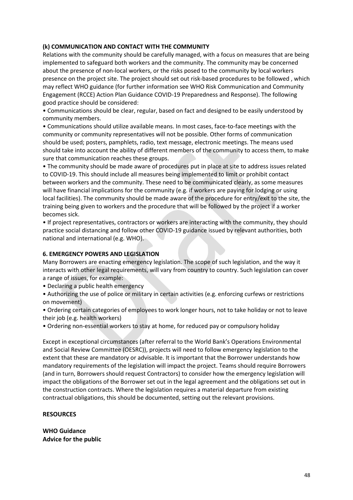### **(k) COMMUNICATION AND CONTACT WITH THE COMMUNITY**

Relations with the community should be carefully managed, with a focus on measures that are being implemented to safeguard both workers and the community. The community may be concerned about the presence of non-local workers, or the risks posed to the community by local workers presence on the project site. The project should set out risk-based procedures to be followed , which may reflect WHO guidance (for further information see WHO Risk Communication and Community Engagement (RCCE) Action Plan Guidance COVID-19 Preparedness and Response). The following good practice should be considered:

• Communications should be clear, regular, based on fact and designed to be easily understood by community members.

• Communications should utilize available means. In most cases, face-to-face meetings with the community or community representatives will not be possible. Other forms of communication should be used; posters, pamphlets, radio, text message, electronic meetings. The means used should take into account the ability of different members of the community to access them, to make sure that communication reaches these groups.

• The community should be made aware of procedures put in place at site to address issues related to COVID-19. This should include all measures being implemented to limit or prohibit contact between workers and the community. These need to be communicated clearly, as some measures will have financial implications for the community (e.g. if workers are paying for lodging or using local facilities). The community should be made aware of the procedure for entry/exit to the site, the training being given to workers and the procedure that will be followed by the project if a worker becomes sick.

• If project representatives, contractors or workers are interacting with the community, they should practice social distancing and follow other COVID-19 guidance issued by relevant authorities, both national and international (e.g. WHO).

#### **6. EMERGENCY POWERS AND LEGISLATION**

Many Borrowers are enacting emergency legislation. The scope of such legislation, and the way it interacts with other legal requirements, will vary from country to country. Such legislation can cover a range of issues, for example:

• Declaring a public health emergency

• Authorizing the use of police or military in certain activities (e.g. enforcing curfews or restrictions on movement)

• Ordering certain categories of employees to work longer hours, not to take holiday or not to leave their job (e.g. health workers)

• Ordering non-essential workers to stay at home, for reduced pay or compulsory holiday

Except in exceptional circumstances (after referral to the World Bank's Operations Environmental and Social Review Committee (OESRC)), projects will need to follow emergency legislation to the extent that these are mandatory or advisable. It is important that the Borrower understands how mandatory requirements of the legislation will impact the project. Teams should require Borrowers (and in turn, Borrowers should request Contractors) to consider how the emergency legislation will impact the obligations of the Borrower set out in the legal agreement and the obligations set out in the construction contracts. Where the legislation requires a material departure from existing contractual obligations, this should be documented, setting out the relevant provisions.

#### **RESOURCES**

**WHO Guidance Advice for the public**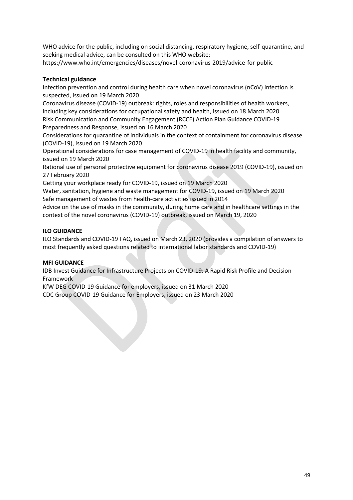WHO advice for the public, including on social distancing, respiratory hygiene, self-quarantine, and seeking medical advice, can be consulted on this WHO website:

https://www.who.int/emergencies/diseases/novel-coronavirus-2019/advice-for-public

### **Technical guidance**

Infection prevention and control during health care when novel coronavirus (nCoV) infection is suspected, issued on 19 March 2020

Coronavirus disease (COVID-19) outbreak: rights, roles and responsibilities of health workers, including key considerations for occupational safety and health, issued on 18 March 2020 Risk Communication and Community Engagement (RCCE) Action Plan Guidance COVID-19 Preparedness and Response, issued on 16 March 2020

Considerations for quarantine of individuals in the context of containment for coronavirus disease (COVID-19), issued on 19 March 2020

Operational considerations for case management of COVID-19 in health facility and community, issued on 19 March 2020

Rational use of personal protective equipment for coronavirus disease 2019 (COVID-19), issued on 27 February 2020

Getting your workplace ready for COVID-19, issued on 19 March 2020

Water, sanitation, hygiene and waste management for COVID-19, issued on 19 March 2020 Safe management of wastes from health-care activities issued in 2014

Advice on the use of masks in the community, during home care and in healthcare settings in the context of the novel coronavirus (COVID-19) outbreak, issued on March 19, 2020

### **ILO GUIDANCE**

ILO Standards and COVID-19 FAQ, issued on March 23, 2020 (provides a compilation of answers to most frequently asked questions related to international labor standards and COVID-19)

#### **MFI GUIDANCE**

IDB Invest Guidance for Infrastructure Projects on COVID-19: A Rapid Risk Profile and Decision Framework

KfW DEG COVID-19 Guidance for employers, issued on 31 March 2020 CDC Group COVID-19 Guidance for Employers, issued on 23 March 2020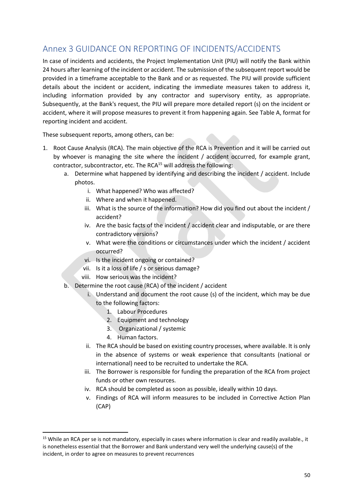## <span id="page-50-0"></span>Annex 3 GUIDANCE ON REPORTING OF INCIDENTS/ACCIDENTS

In case of incidents and accidents, the Project Implementation Unit (PIU) will notify the Bank within 24 hours after learning of the incident or accident. The submission of the subsequent report would be provided in a timeframe acceptable to the Bank and or as requested. The PIU will provide sufficient details about the incident or accident, indicating the immediate measures taken to address it, including information provided by any contractor and supervisory entity, as appropriate. Subsequently, at the Bank's request, the PIU will prepare more detailed report (s) on the incident or accident, where it will propose measures to prevent it from happening again. See Table A, format for reporting incident and accident.

These subsequent reports, among others, can be:

- 1. Root Cause Analysis (RCA). The main objective of the RCA is Prevention and it will be carried out by whoever is managing the site where the incident / accident occurred, for example grant, contractor, subcontractor, etc. The RCA $<sup>15</sup>$  will address the following:</sup>
	- a. Determine what happened by identifying and describing the incident / accident. Include photos.
		- i. What happened? Who was affected?
		- ii. Where and when it happened.
		- iii. What is the source of the information? How did you find out about the incident / accident?
		- iv. Are the basic facts of the incident / accident clear and indisputable, or are there contradictory versions?
		- v. What were the conditions or circumstances under which the incident / accident occurred?
		- vi. Is the incident ongoing or contained?
		- vii. Is it a loss of life / s or serious damage?
		- viii. How serious was the incident?
	- b. Determine the root cause (RCA) of the incident / accident
		- i. Understand and document the root cause (s) of the incident, which may be due to the following factors:
			- 1. Labour Procedures
			- 2. Equipment and technology
			- 3. Organizational / systemic
			- 4. Human factors.

**.** 

- ii. The RCA should be based on existing country processes, where available. It is only in the absence of systems or weak experience that consultants (national or international) need to be recruited to undertake the RCA.
- iii. The Borrower is responsible for funding the preparation of the RCA from project funds or other own resources.
- iv. RCA should be completed as soon as possible, ideally within 10 days.
- v. Findings of RCA will inform measures to be included in Corrective Action Plan (CAP)

<sup>&</sup>lt;sup>15</sup> While an RCA per se is not mandatory, especially in cases where information is clear and readily available., it is nonetheless essential that the Borrower and Bank understand very well the underlying cause(s) of the incident, in order to agree on measures to prevent recurrences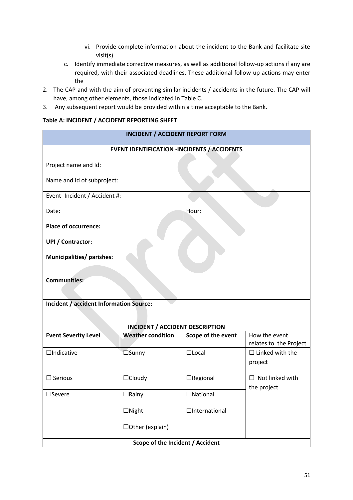- vi. Provide complete information about the incident to the Bank and facilitate site visit(s)
- c. Identify immediate corrective measures, as well as additional follow-up actions if any are required, with their associated deadlines. These additional follow-up actions may enter the
- 2. The CAP and with the aim of preventing similar incidents / accidents in the future. The CAP will have, among other elements, those indicated in Table C.
- 3. Any subsequent report would be provided within a time acceptable to the Bank.

### **Table A: INCIDENT / ACCIDENT REPORTING SHEET**

| <b>INCIDENT / ACCIDENT REPORT FORM</b>         |                                        |                                                    |                                         |
|------------------------------------------------|----------------------------------------|----------------------------------------------------|-----------------------------------------|
|                                                |                                        | <b>EVENT IDENTIFICATION -INCIDENTS / ACCIDENTS</b> |                                         |
| Project name and Id:                           |                                        |                                                    |                                         |
| Name and Id of subproject:                     |                                        |                                                    |                                         |
| Event -Incident / Accident #:                  |                                        |                                                    |                                         |
| Date:                                          |                                        | Hour:                                              |                                         |
| <b>Place of occurrence:</b>                    |                                        |                                                    |                                         |
| <b>UPI / Contractor:</b>                       |                                        |                                                    |                                         |
| Municipalities/ parishes:                      |                                        |                                                    |                                         |
| <b>Communities:</b>                            |                                        |                                                    |                                         |
| <b>Incident / accident Information Source:</b> |                                        |                                                    |                                         |
|                                                | <b>INCIDENT / ACCIDENT DESCRIPTION</b> |                                                    |                                         |
| <b>Event Severity Level</b>                    | <b>Weather condition</b>               | Scope of the event                                 | How the event<br>relates to the Project |
| $\Box$ Indicative                              | $\square$ Sunny                        | $\Box$ Local                                       | $\Box$ Linked with the<br>project       |
| $\square$ Serious                              | $\Box$ Cloudy                          | $\Box$ Regional                                    | $\Box$ Not linked with<br>the project   |
| $\square$ Severe                               | $\Box$ Rainy                           | □National                                          |                                         |
|                                                | $\Box$ Night                           | $\Box$ International                               |                                         |
|                                                | □Other (explain)                       |                                                    |                                         |
|                                                | Scope of the Incident / Accident       |                                                    |                                         |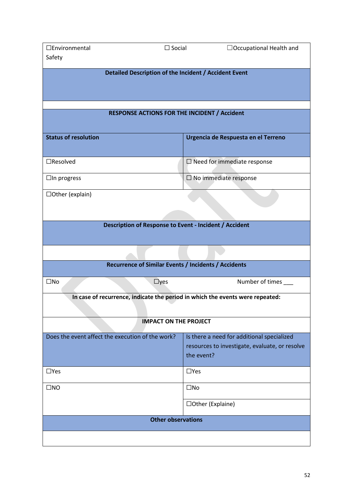| □Environmental<br>$\Box$ Social                                               | $\Box$ Occupational Health and                                                                             |  |  |  |
|-------------------------------------------------------------------------------|------------------------------------------------------------------------------------------------------------|--|--|--|
| Safety                                                                        |                                                                                                            |  |  |  |
| Detailed Description of the Incident / Accident Event                         |                                                                                                            |  |  |  |
|                                                                               |                                                                                                            |  |  |  |
| <b>RESPONSE ACTIONS FOR THE INCIDENT / Accident</b>                           |                                                                                                            |  |  |  |
| <b>Status of resolution</b>                                                   | Urgencia de Respuesta en el Terreno                                                                        |  |  |  |
| $\Box$ Resolved                                                               | $\square$ Need for immediate response                                                                      |  |  |  |
| $\Box$ In progress                                                            | $\Box$ No immediate response                                                                               |  |  |  |
| $\Box$ Other (explain)                                                        |                                                                                                            |  |  |  |
| Description of Response to Event - Incident / Accident                        |                                                                                                            |  |  |  |
|                                                                               |                                                                                                            |  |  |  |
| Recurrence of Similar Events / Incidents / Accidents                          |                                                                                                            |  |  |  |
| $\square$ No<br>$\Box$ yes                                                    | Number of times                                                                                            |  |  |  |
| In case of recurrence, indicate the period in which the events were repeated: |                                                                                                            |  |  |  |
| <b>IMPACT ON THE PROJECT</b>                                                  |                                                                                                            |  |  |  |
| Does the event affect the execution of the work?                              | Is there a need for additional specialized<br>resources to investigate, evaluate, or resolve<br>the event? |  |  |  |
| $\Box$ Yes                                                                    | $\Box$ Yes                                                                                                 |  |  |  |
| $\square$ NO                                                                  | $\square$ No                                                                                               |  |  |  |
|                                                                               | □Other (Explaine)                                                                                          |  |  |  |
| <b>Other observations</b>                                                     |                                                                                                            |  |  |  |
|                                                                               |                                                                                                            |  |  |  |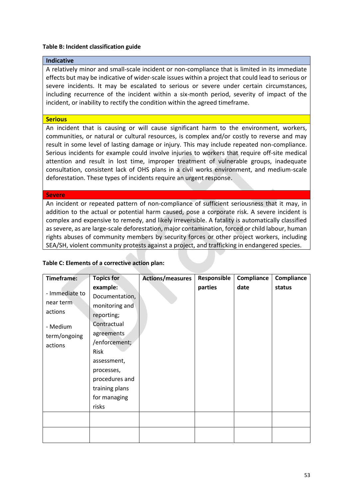#### **Table B: Incident classification guide**

### **Indicative**

A relatively minor and small-scale incident or non-compliance that is limited in its immediate effects but may be indicative of wider-scale issues within a project that could lead to serious or severe incidents. It may be escalated to serious or severe under certain circumstances, including recurrence of the incident within a six-month period, severity of impact of the incident, or inability to rectify the condition within the agreed timeframe.

#### **Serious**

An incident that is causing or will cause significant harm to the environment, workers, communities, or natural or cultural resources, is complex and/or costly to reverse and may result in some level of lasting damage or injury. This may include repeated non-compliance. Serious incidents for example could involve injuries to workers that require off-site medical attention and result in lost time, improper treatment of vulnerable groups, inadequate consultation, consistent lack of OHS plans in a civil works environment, and medium-scale deforestation. These types of incidents require an urgent response.

#### **Severe**

An incident or repeated pattern of non-compliance of sufficient seriousness that it may, in addition to the actual or potential harm caused, pose a corporate risk. A severe incident is complex and expensive to remedy, and likely irreversible. A fatality is automatically classified as severe, as are large-scale deforestation, major contamination, forced or child labour, human rights abuses of community members by security forces or other project workers, including SEA/SH, violent community protests against a project, and trafficking in endangered species.

| Timeframe:                                                                    | <b>Topics for</b>                                                                                                                                                                                          | <b>Actions/measures</b> | Responsible | Compliance | Compliance |
|-------------------------------------------------------------------------------|------------------------------------------------------------------------------------------------------------------------------------------------------------------------------------------------------------|-------------------------|-------------|------------|------------|
| - Immediate to<br>near term<br>actions<br>- Medium<br>term/ongoing<br>actions | example:<br>Documentation,<br>monitoring and<br>reporting;<br>Contractual<br>agreements<br>/enforcement;<br>Risk<br>assessment,<br>processes,<br>procedures and<br>training plans<br>for managing<br>risks |                         | parties     | date       | status     |
|                                                                               |                                                                                                                                                                                                            |                         |             |            |            |
|                                                                               |                                                                                                                                                                                                            |                         |             |            |            |

### **Table C: Elements of a corrective action plan:**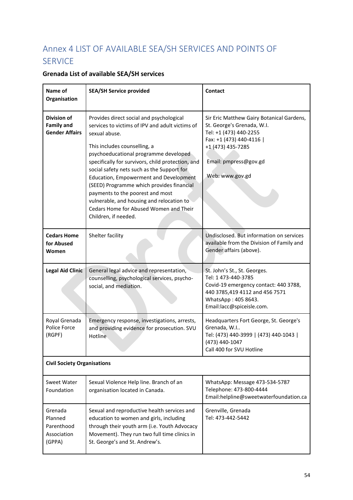# <span id="page-54-0"></span>Annex 4 LIST OF AVAILABLE SEA/SH SERVICES AND POINTS OF SERVICE

## **Grenada List of available SEA/SH services**

| Name of<br>Organisation                                          | <b>SEA/SH Service provided</b>                                                                                                                                                                                                                                                                                                                                                                                                                                                                                                            | <b>Contact</b>                                                                                                                                                                                 |  |
|------------------------------------------------------------------|-------------------------------------------------------------------------------------------------------------------------------------------------------------------------------------------------------------------------------------------------------------------------------------------------------------------------------------------------------------------------------------------------------------------------------------------------------------------------------------------------------------------------------------------|------------------------------------------------------------------------------------------------------------------------------------------------------------------------------------------------|--|
| <b>Division of</b><br><b>Family and</b><br><b>Gender Affairs</b> | Provides direct social and psychological<br>services to victims of IPV and adult victims of<br>sexual abuse.<br>This includes counselling, a<br>psychoeducational programme developed<br>specifically for survivors, child protection, and<br>social safety nets such as the Support for<br><b>Education, Empowerment and Development</b><br>(SEED) Programme which provides financial<br>payments to the poorest and most<br>vulnerable, and housing and relocation to<br>Cedars Home for Abused Women and Their<br>Children, if needed. | Sir Eric Matthew Gairy Botanical Gardens,<br>St. George's Grenada, W.I.<br>Tel: +1 (473) 440-2255<br>Fax: +1 (473) 440-4116  <br>+1 (473) 435-7285<br>Email: pmpress@gov.gd<br>Web: www.gov.gd |  |
| <b>Cedars Home</b><br>for Abused<br>Women                        | Shelter facility                                                                                                                                                                                                                                                                                                                                                                                                                                                                                                                          | Undisclosed. But information on services<br>available from the Division of Family and<br>Gender affairs (above).                                                                               |  |
| <b>Legal Aid Clinic</b>                                          | General legal advice and representation,<br>counselling, psychological services, psycho-<br>social, and mediation.                                                                                                                                                                                                                                                                                                                                                                                                                        | St. John's St., St. Georges.<br>Tel: 1 473-440-3785<br>Covid-19 emergency contact: 440 3788,<br>440 3785,419 4112 and 456 7571<br>WhatsApp: 405 8643.<br>Email:lacc@spiceisle.com.             |  |
| Royal Grenada<br>Police Force<br>(RGPF)                          | Emergency response, investigations, arrests,<br>and providing evidence for prosecution. SVU<br>Hotline                                                                                                                                                                                                                                                                                                                                                                                                                                    | Headquarters Fort George, St. George's<br>Grenada, W.I<br>Tel: (473) 440-3999   (473) 440-1043  <br>(473) 440-1047<br>Call 400 for SVU Hotline                                                 |  |
| <b>Civil Society Organisations</b>                               |                                                                                                                                                                                                                                                                                                                                                                                                                                                                                                                                           |                                                                                                                                                                                                |  |
| Sweet Water<br>Foundation                                        | Sexual Violence Help line. Branch of an<br>organisation located in Canada.                                                                                                                                                                                                                                                                                                                                                                                                                                                                | WhatsApp: Message 473-534-5787<br>Telephone: 473-800-4444<br>Email:helpline@sweetwaterfoundation.ca                                                                                            |  |
| Grenada<br>Planned<br>Parenthood<br>Association<br>(GPPA)        | Sexual and reproductive health services and<br>education to women and girls, including<br>through their youth arm (i.e. Youth Advocacy<br>Movement). They run two full time clinics in<br>St. George's and St. Andrew's.                                                                                                                                                                                                                                                                                                                  | Grenville, Grenada<br>Tel: 473-442-5442                                                                                                                                                        |  |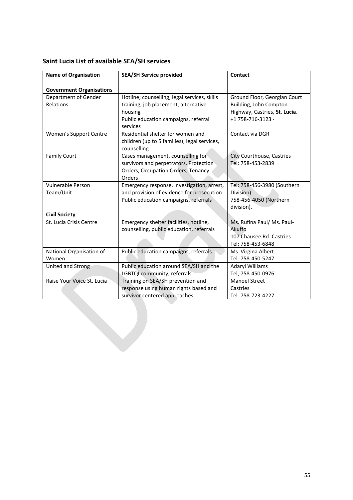|  |  | Saint Lucia List of available SEA/SH services |
|--|--|-----------------------------------------------|
|--|--|-----------------------------------------------|

| <b>Name of Organisation</b>       | <b>SEA/SH Service provided</b>                                                                                                                      | Contact                                                                                                            |
|-----------------------------------|-----------------------------------------------------------------------------------------------------------------------------------------------------|--------------------------------------------------------------------------------------------------------------------|
| <b>Government Organisations</b>   |                                                                                                                                                     |                                                                                                                    |
| Department of Gender<br>Relations | Hotline; counselling, legal services, skills<br>training, job placement, alternative<br>housing<br>Public education campaigns, referral<br>services | Ground Floor, Georgian Court<br>Building, John Compton<br>Highway, Castries, St. Lucia.<br>+1 758-716-3123 $\cdot$ |
| Women's Support Centre            | Residential shelter for women and<br>children (up to 5 families); legal services,<br>counselling                                                    | Contact via DGR                                                                                                    |
| <b>Family Court</b>               | Cases management, counselling for<br>survivors and perpetrators, Protection<br>Orders, Occupation Orders, Tenancy<br>Orders                         | City Courthouse, Castries<br>Tel: 758-453-2839                                                                     |
| Vulnerable Person<br>Team/Unit    | Emergency response, investigation, arrest,<br>and provision of evidence for prosecution.<br>Public education campaigns, referrals                   | Tel: 758-456-3980 (Southern<br>Division)<br>758-456-4050 (Northern<br>division).                                   |
| <b>Civil Society</b>              |                                                                                                                                                     |                                                                                                                    |
| St. Lucia Crisis Centre           | Emergency shelter facilities, hotline,<br>counselling, public education, referrals                                                                  | Ms. Rufina Paul/ Ms. Paul-<br>Akuffo<br>107 Chausee Rd. Castries<br>Tel: 758-453-6848                              |
| National Organisation of<br>Women | Public education campaigns, referrals.                                                                                                              | Ms. Virgina Albert<br>Tel: 758-450-5247                                                                            |
| United and Strong                 | Public education around SEA/SH and the<br>LGBTQI community; referrals                                                                               | <b>Adaryl Williams</b><br>Tel; 758-450-0976                                                                        |
| Raise Your Voice St. Lucia        | Training on SEA/SH prevention and<br>response using human rights based and<br>survivor centered approaches.                                         | <b>Manoel Street</b><br>Castries<br>Tel: 758-723-4227.                                                             |
|                                   |                                                                                                                                                     |                                                                                                                    |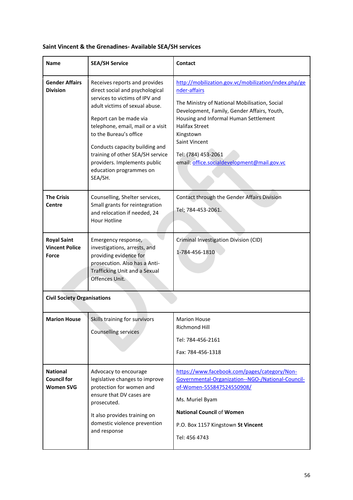| <b>Name</b>                                               | <b>SEA/SH Service</b>                                                                                                                                                                                                                                                                                                                                                     | Contact                                                                                                                                                                                                                                                                                                                                    |
|-----------------------------------------------------------|---------------------------------------------------------------------------------------------------------------------------------------------------------------------------------------------------------------------------------------------------------------------------------------------------------------------------------------------------------------------------|--------------------------------------------------------------------------------------------------------------------------------------------------------------------------------------------------------------------------------------------------------------------------------------------------------------------------------------------|
| <b>Gender Affairs</b><br><b>Division</b>                  | Receives reports and provides<br>direct social and psychological<br>services to victims of IPV and<br>adult victims of sexual abuse.<br>Report can be made via<br>telephone, email, mail or a visit<br>to the Bureau's office<br>Conducts capacity building and<br>training of other SEA/SH service<br>providers. Implements public<br>education programmes on<br>SEA/SH. | http://mobilization.gov.vc/mobilization/index.php/ge<br>nder-affairs<br>The Ministry of National Mobilisation, Social<br>Development, Family, Gender Affairs, Youth,<br>Housing and Informal Human Settlement<br><b>Halifax Street</b><br>Kingstown<br>Saint Vincent<br>Tel: (784) 453-2061<br>email: office.socialdevelopment@mail.gov.vc |
| <b>The Crisis</b><br>Centre                               | Counselling, Shelter services,<br>Small grants for reintegration<br>and relocation if needed, 24<br><b>Hour Hotline</b>                                                                                                                                                                                                                                                   | Contact through the Gender Affairs Division<br>Tel; 784-453-2061.                                                                                                                                                                                                                                                                          |
| <b>Royal Saint</b><br><b>Vincent Police</b><br>Force      | Emergency response,<br>investigations, arrests, and<br>providing evidence for<br>prosecution. Also has a Anti-<br>Trafficking Unit and a Sexual<br>Offences Unit.                                                                                                                                                                                                         | Criminal Investigation Division (CID)<br>1-784-456-1810                                                                                                                                                                                                                                                                                    |
| <b>Civil Society Organisations</b>                        |                                                                                                                                                                                                                                                                                                                                                                           |                                                                                                                                                                                                                                                                                                                                            |
| <b>Marion House</b>                                       | Skills training for survivors<br><b>Counselling services</b>                                                                                                                                                                                                                                                                                                              | <b>Marion House</b><br>Richmond Hill<br>Tel: 784-456-2161<br>Fax: 784-456-1318                                                                                                                                                                                                                                                             |
| <b>National</b><br><b>Council for</b><br><b>Women SVG</b> | Advocacy to encourage<br>legislative changes to improve<br>protection for women and<br>ensure that DV cases are<br>prosecuted.<br>It also provides training on<br>domestic violence prevention<br>and response                                                                                                                                                            | https://www.facebook.com/pages/category/Non-<br>Governmental-Organization--NGO-/National-Council-<br>of-Women-555847524550908/<br>Ms. Muriel Byam<br><b>National Council of Women</b><br>P.O. Box 1157 Kingstown St Vincent<br>Tel: 456 4743                                                                                               |

## **Saint Vincent & the Grenadines- Available SEA/SH services**